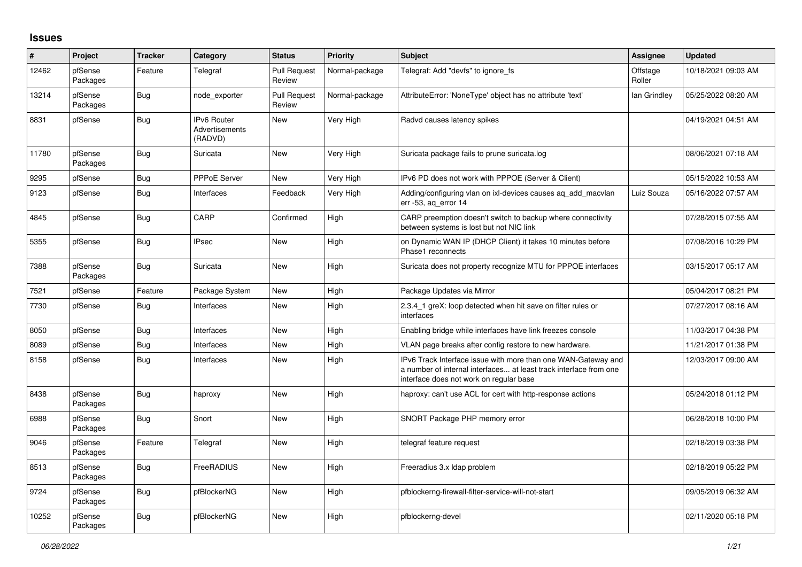## **Issues**

| $\vert$ # | Project             | <b>Tracker</b> | Category                                 | <b>Status</b>                 | Priority       | <b>Subject</b>                                                                                                                                                                | <b>Assignee</b>    | <b>Updated</b>      |
|-----------|---------------------|----------------|------------------------------------------|-------------------------------|----------------|-------------------------------------------------------------------------------------------------------------------------------------------------------------------------------|--------------------|---------------------|
| 12462     | pfSense<br>Packages | Feature        | Telegraf                                 | <b>Pull Request</b><br>Review | Normal-package | Telegraf: Add "devfs" to ignore fs                                                                                                                                            | Offstage<br>Roller | 10/18/2021 09:03 AM |
| 13214     | pfSense<br>Packages | Bug            | node exporter                            | <b>Pull Request</b><br>Review | Normal-package | AttributeError: 'NoneType' object has no attribute 'text'                                                                                                                     | lan Grindley       | 05/25/2022 08:20 AM |
| 8831      | pfSense             | Bug            | IPv6 Router<br>Advertisements<br>(RADVD) | New                           | Very High      | Radvd causes latency spikes                                                                                                                                                   |                    | 04/19/2021 04:51 AM |
| 11780     | pfSense<br>Packages | <b>Bug</b>     | Suricata                                 | New                           | Very High      | Suricata package fails to prune suricata.log                                                                                                                                  |                    | 08/06/2021 07:18 AM |
| 9295      | pfSense             | <b>Bug</b>     | PPPoE Server                             | New                           | Very High      | IPv6 PD does not work with PPPOE (Server & Client)                                                                                                                            |                    | 05/15/2022 10:53 AM |
| 9123      | pfSense             | <b>Bug</b>     | Interfaces                               | Feedback                      | Very High      | Adding/configuring vlan on ixl-devices causes aq_add_macvlan<br>err -53, ag error 14                                                                                          | Luiz Souza         | 05/16/2022 07:57 AM |
| 4845      | pfSense             | Bug            | CARP                                     | Confirmed                     | High           | CARP preemption doesn't switch to backup where connectivity<br>between systems is lost but not NIC link                                                                       |                    | 07/28/2015 07:55 AM |
| 5355      | pfSense             | Bug            | <b>IPsec</b>                             | New                           | High           | on Dynamic WAN IP (DHCP Client) it takes 10 minutes before<br>Phase1 reconnects                                                                                               |                    | 07/08/2016 10:29 PM |
| 7388      | pfSense<br>Packages | Bug            | Suricata                                 | New                           | High           | Suricata does not property recognize MTU for PPPOE interfaces                                                                                                                 |                    | 03/15/2017 05:17 AM |
| 7521      | pfSense             | Feature        | Package System                           | New                           | High           | Package Updates via Mirror                                                                                                                                                    |                    | 05/04/2017 08:21 PM |
| 7730      | pfSense             | <b>Bug</b>     | Interfaces                               | <b>New</b>                    | High           | 2.3.4_1 greX: loop detected when hit save on filter rules or<br>interfaces                                                                                                    |                    | 07/27/2017 08:16 AM |
| 8050      | pfSense             | <b>Bug</b>     | Interfaces                               | New                           | High           | Enabling bridge while interfaces have link freezes console                                                                                                                    |                    | 11/03/2017 04:38 PM |
| 8089      | pfSense             | Bug            | Interfaces                               | New                           | High           | VLAN page breaks after config restore to new hardware.                                                                                                                        |                    | 11/21/2017 01:38 PM |
| 8158      | pfSense             | Bug            | Interfaces                               | New                           | High           | IPv6 Track Interface issue with more than one WAN-Gateway and<br>a number of internal interfaces at least track interface from one<br>interface does not work on regular base |                    | 12/03/2017 09:00 AM |
| 8438      | pfSense<br>Packages | <b>Bug</b>     | haproxy                                  | New                           | High           | haproxy: can't use ACL for cert with http-response actions                                                                                                                    |                    | 05/24/2018 01:12 PM |
| 6988      | pfSense<br>Packages | Bug            | Snort                                    | New                           | High           | SNORT Package PHP memory error                                                                                                                                                |                    | 06/28/2018 10:00 PM |
| 9046      | pfSense<br>Packages | Feature        | Telegraf                                 | New                           | High           | telegraf feature request                                                                                                                                                      |                    | 02/18/2019 03:38 PM |
| 8513      | pfSense<br>Packages | Bug            | FreeRADIUS                               | New                           | High           | Freeradius 3.x Idap problem                                                                                                                                                   |                    | 02/18/2019 05:22 PM |
| 9724      | pfSense<br>Packages | Bug            | pfBlockerNG                              | New                           | High           | pfblockerng-firewall-filter-service-will-not-start                                                                                                                            |                    | 09/05/2019 06:32 AM |
| 10252     | pfSense<br>Packages | <b>Bug</b>     | pfBlockerNG                              | New                           | High           | pfblockerng-devel                                                                                                                                                             |                    | 02/11/2020 05:18 PM |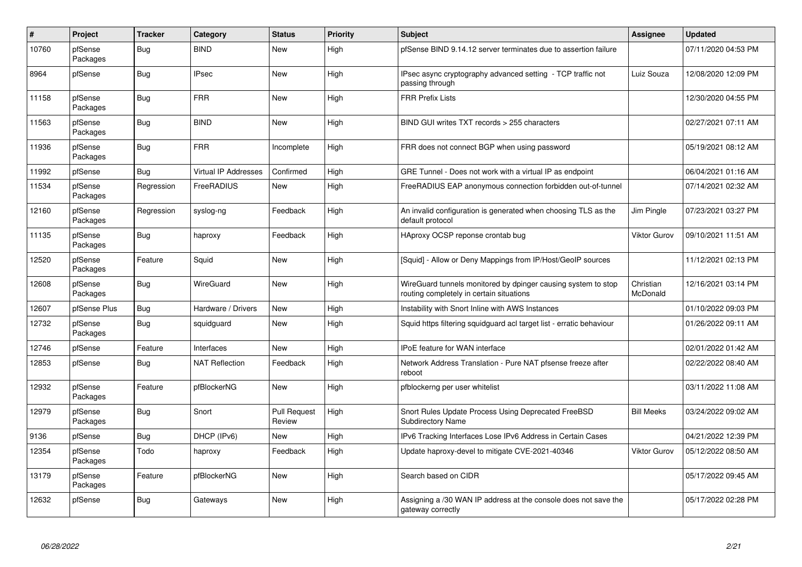| $\vert$ # | Project             | <b>Tracker</b> | Category                    | <b>Status</b>                 | <b>Priority</b> | <b>Subject</b>                                                                                            | Assignee                     | <b>Updated</b>      |
|-----------|---------------------|----------------|-----------------------------|-------------------------------|-----------------|-----------------------------------------------------------------------------------------------------------|------------------------------|---------------------|
| 10760     | pfSense<br>Packages | Bug            | <b>BIND</b>                 | New                           | High            | pfSense BIND 9.14.12 server terminates due to assertion failure                                           |                              | 07/11/2020 04:53 PM |
| 8964      | pfSense             | Bug            | <b>IPsec</b>                | New                           | High            | IPsec async cryptography advanced setting - TCP traffic not<br>passing through                            | Luiz Souza                   | 12/08/2020 12:09 PM |
| 11158     | pfSense<br>Packages | <b>Bug</b>     | <b>FRR</b>                  | New                           | High            | <b>FRR Prefix Lists</b>                                                                                   |                              | 12/30/2020 04:55 PM |
| 11563     | pfSense<br>Packages | <b>Bug</b>     | <b>BIND</b>                 | <b>New</b>                    | High            | BIND GUI writes TXT records > 255 characters                                                              |                              | 02/27/2021 07:11 AM |
| 11936     | pfSense<br>Packages | <b>Bug</b>     | <b>FRR</b>                  | Incomplete                    | High            | FRR does not connect BGP when using password                                                              |                              | 05/19/2021 08:12 AM |
| 11992     | pfSense             | Bug            | <b>Virtual IP Addresses</b> | Confirmed                     | High            | GRE Tunnel - Does not work with a virtual IP as endpoint                                                  |                              | 06/04/2021 01:16 AM |
| 11534     | pfSense<br>Packages | Regression     | FreeRADIUS                  | New                           | High            | FreeRADIUS EAP anonymous connection forbidden out-of-tunnel                                               |                              | 07/14/2021 02:32 AM |
| 12160     | pfSense<br>Packages | Regression     | syslog-ng                   | Feedback                      | High            | An invalid configuration is generated when choosing TLS as the<br>default protocol                        | Jim Pingle                   | 07/23/2021 03:27 PM |
| 11135     | pfSense<br>Packages | Bug            | haproxy                     | Feedback                      | High            | HAproxy OCSP reponse crontab bug                                                                          | Viktor Gurov                 | 09/10/2021 11:51 AM |
| 12520     | pfSense<br>Packages | Feature        | Squid                       | <b>New</b>                    | High            | [Squid] - Allow or Deny Mappings from IP/Host/GeoIP sources                                               |                              | 11/12/2021 02:13 PM |
| 12608     | pfSense<br>Packages | <b>Bug</b>     | WireGuard                   | <b>New</b>                    | High            | WireGuard tunnels monitored by dpinger causing system to stop<br>routing completely in certain situations | Christian<br><b>McDonald</b> | 12/16/2021 03:14 PM |
| 12607     | pfSense Plus        | <b>Bug</b>     | Hardware / Drivers          | <b>New</b>                    | High            | Instability with Snort Inline with AWS Instances                                                          |                              | 01/10/2022 09:03 PM |
| 12732     | pfSense<br>Packages | <b>Bug</b>     | squidguard                  | <b>New</b>                    | High            | Squid https filtering squidguard acl target list - erratic behaviour                                      |                              | 01/26/2022 09:11 AM |
| 12746     | pfSense             | Feature        | Interfaces                  | <b>New</b>                    | High            | IPoE feature for WAN interface                                                                            |                              | 02/01/2022 01:42 AM |
| 12853     | pfSense             | Bug            | <b>NAT Reflection</b>       | Feedback                      | High            | Network Address Translation - Pure NAT pfsense freeze after<br>reboot                                     |                              | 02/22/2022 08:40 AM |
| 12932     | pfSense<br>Packages | Feature        | pfBlockerNG                 | New                           | High            | pfblockerng per user whitelist                                                                            |                              | 03/11/2022 11:08 AM |
| 12979     | pfSense<br>Packages | Bug            | Snort                       | <b>Pull Request</b><br>Review | High            | Snort Rules Update Process Using Deprecated FreeBSD<br><b>Subdirectory Name</b>                           | <b>Bill Meeks</b>            | 03/24/2022 09:02 AM |
| 9136      | pfSense             | Bug            | DHCP (IPv6)                 | <b>New</b>                    | High            | IPv6 Tracking Interfaces Lose IPv6 Address in Certain Cases                                               |                              | 04/21/2022 12:39 PM |
| 12354     | pfSense<br>Packages | Todo           | haproxy                     | Feedback                      | High            | Update haproxy-devel to mitigate CVE-2021-40346                                                           | <b>Viktor Gurov</b>          | 05/12/2022 08:50 AM |
| 13179     | pfSense<br>Packages | Feature        | pfBlockerNG                 | New                           | High            | Search based on CIDR                                                                                      |                              | 05/17/2022 09:45 AM |
| 12632     | pfSense             | <b>Bug</b>     | Gateways                    | <b>New</b>                    | High            | Assigning a /30 WAN IP address at the console does not save the<br>gateway correctly                      |                              | 05/17/2022 02:28 PM |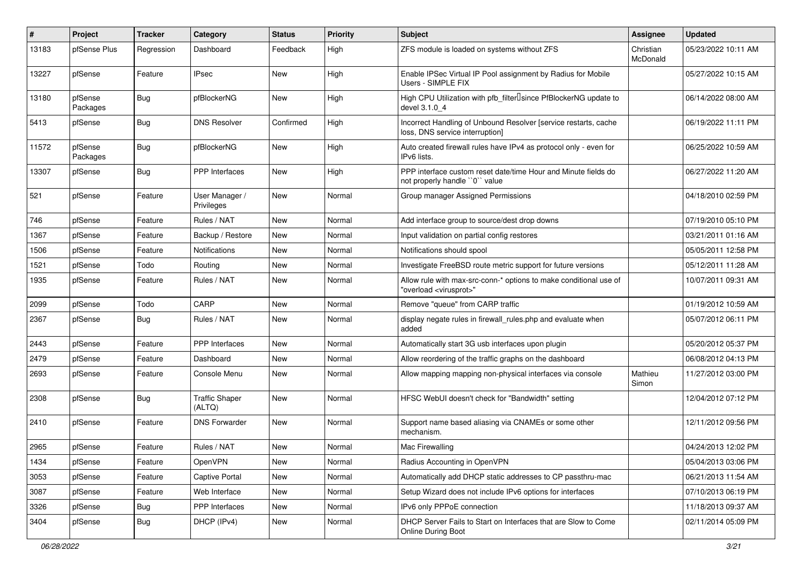| #     | Project             | <b>Tracker</b> | Category                        | <b>Status</b> | <b>Priority</b> | <b>Subject</b>                                                                                          | <b>Assignee</b>       | <b>Updated</b>      |
|-------|---------------------|----------------|---------------------------------|---------------|-----------------|---------------------------------------------------------------------------------------------------------|-----------------------|---------------------|
| 13183 | pfSense Plus        | Regression     | Dashboard                       | Feedback      | High            | ZFS module is loaded on systems without ZFS                                                             | Christian<br>McDonald | 05/23/2022 10:11 AM |
| 13227 | pfSense             | Feature        | <b>IPsec</b>                    | New           | High            | Enable IPSec Virtual IP Pool assignment by Radius for Mobile<br>Users - SIMPLE FIX                      |                       | 05/27/2022 10:15 AM |
| 13180 | pfSense<br>Packages | Bug            | pfBlockerNG                     | <b>New</b>    | High            | High CPU Utilization with pfb filter Isince PfBlockerNG update to<br>devel 3.1.0 4                      |                       | 06/14/2022 08:00 AM |
| 5413  | pfSense             | Bug            | <b>DNS Resolver</b>             | Confirmed     | High            | Incorrect Handling of Unbound Resolver [service restarts, cache<br>loss, DNS service interruption]      |                       | 06/19/2022 11:11 PM |
| 11572 | pfSense<br>Packages | Bug            | pfBlockerNG                     | New           | High            | Auto created firewall rules have IPv4 as protocol only - even for<br>IPv6 lists.                        |                       | 06/25/2022 10:59 AM |
| 13307 | pfSense             | Bug            | PPP Interfaces                  | New           | High            | PPP interface custom reset date/time Hour and Minute fields do<br>not properly handle "0" value         |                       | 06/27/2022 11:20 AM |
| 521   | pfSense             | Feature        | User Manager /<br>Privileges    | New           | Normal          | Group manager Assigned Permissions                                                                      |                       | 04/18/2010 02:59 PM |
| 746   | pfSense             | Feature        | Rules / NAT                     | New           | Normal          | Add interface group to source/dest drop downs                                                           |                       | 07/19/2010 05:10 PM |
| 1367  | pfSense             | Feature        | Backup / Restore                | New           | Normal          | Input validation on partial config restores                                                             |                       | 03/21/2011 01:16 AM |
| 1506  | pfSense             | Feature        | Notifications                   | New           | Normal          | Notifications should spool                                                                              |                       | 05/05/2011 12:58 PM |
| 1521  | pfSense             | Todo           | Routing                         | New           | Normal          | Investigate FreeBSD route metric support for future versions                                            |                       | 05/12/2011 11:28 AM |
| 1935  | pfSense             | Feature        | Rules / NAT                     | New           | Normal          | Allow rule with max-src-conn-* options to make conditional use of<br>"overload <virusprot>"</virusprot> |                       | 10/07/2011 09:31 AM |
| 2099  | pfSense             | Todo           | CARP                            | New           | Normal          | Remove "queue" from CARP traffic                                                                        |                       | 01/19/2012 10:59 AM |
| 2367  | pfSense             | Bug            | Rules / NAT                     | New           | Normal          | display negate rules in firewall_rules.php and evaluate when<br>added                                   |                       | 05/07/2012 06:11 PM |
| 2443  | pfSense             | Feature        | <b>PPP</b> Interfaces           | <b>New</b>    | Normal          | Automatically start 3G usb interfaces upon plugin                                                       |                       | 05/20/2012 05:37 PM |
| 2479  | pfSense             | Feature        | Dashboard                       | New           | Normal          | Allow reordering of the traffic graphs on the dashboard                                                 |                       | 06/08/2012 04:13 PM |
| 2693  | pfSense             | Feature        | Console Menu                    | New           | Normal          | Allow mapping mapping non-physical interfaces via console                                               | Mathieu<br>Simon      | 11/27/2012 03:00 PM |
| 2308  | pfSense             | Bug            | <b>Traffic Shaper</b><br>(ALTQ) | New           | Normal          | HFSC WebUI doesn't check for "Bandwidth" setting                                                        |                       | 12/04/2012 07:12 PM |
| 2410  | pfSense             | Feature        | <b>DNS Forwarder</b>            | New           | Normal          | Support name based aliasing via CNAMEs or some other<br>mechanism.                                      |                       | 12/11/2012 09:56 PM |
| 2965  | pfSense             | Feature        | Rules / NAT                     | New           | Normal          | Mac Firewalling                                                                                         |                       | 04/24/2013 12:02 PM |
| 1434  | pfSense             | Feature        | OpenVPN                         | New           | Normal          | Radius Accounting in OpenVPN                                                                            |                       | 05/04/2013 03:06 PM |
| 3053  | pfSense             | Feature        | Captive Portal                  | New           | Normal          | Automatically add DHCP static addresses to CP passthru-mac                                              |                       | 06/21/2013 11:54 AM |
| 3087  | pfSense             | Feature        | Web Interface                   | New           | Normal          | Setup Wizard does not include IPv6 options for interfaces                                               |                       | 07/10/2013 06:19 PM |
| 3326  | pfSense             | <b>Bug</b>     | PPP Interfaces                  | New           | Normal          | IPv6 only PPPoE connection                                                                              |                       | 11/18/2013 09:37 AM |
| 3404  | pfSense             | <b>Bug</b>     | DHCP (IPv4)                     | New           | Normal          | DHCP Server Fails to Start on Interfaces that are Slow to Come<br>Online During Boot                    |                       | 02/11/2014 05:09 PM |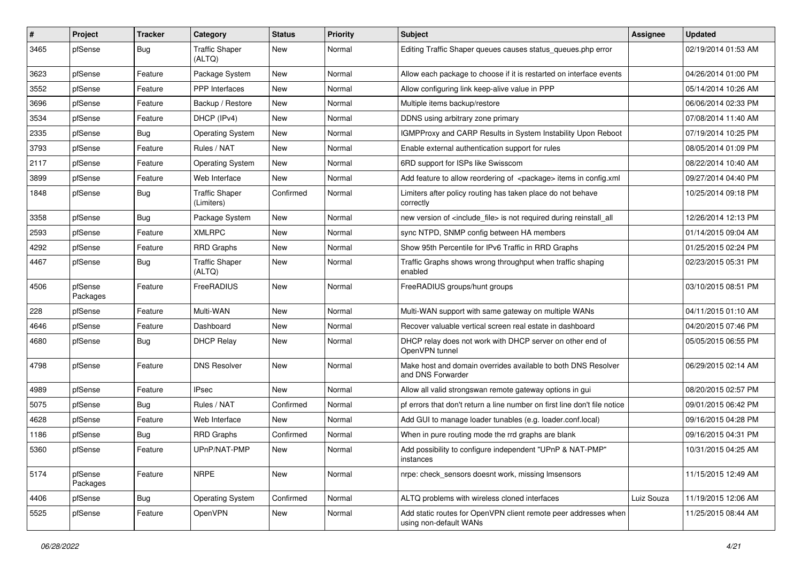| $\pmb{\#}$ | Project             | <b>Tracker</b> | Category                            | <b>Status</b> | <b>Priority</b> | <b>Subject</b>                                                                            | <b>Assignee</b> | <b>Updated</b>      |
|------------|---------------------|----------------|-------------------------------------|---------------|-----------------|-------------------------------------------------------------------------------------------|-----------------|---------------------|
| 3465       | pfSense             | Bug            | <b>Traffic Shaper</b><br>(ALTQ)     | New           | Normal          | Editing Traffic Shaper queues causes status_queues.php error                              |                 | 02/19/2014 01:53 AM |
| 3623       | pfSense             | Feature        | Package System                      | New           | Normal          | Allow each package to choose if it is restarted on interface events                       |                 | 04/26/2014 01:00 PM |
| 3552       | pfSense             | Feature        | PPP Interfaces                      | New           | Normal          | Allow configuring link keep-alive value in PPP                                            |                 | 05/14/2014 10:26 AM |
| 3696       | pfSense             | Feature        | Backup / Restore                    | New           | Normal          | Multiple items backup/restore                                                             |                 | 06/06/2014 02:33 PM |
| 3534       | pfSense             | Feature        | DHCP (IPv4)                         | <b>New</b>    | Normal          | DDNS using arbitrary zone primary                                                         |                 | 07/08/2014 11:40 AM |
| 2335       | pfSense             | Bug            | <b>Operating System</b>             | <b>New</b>    | Normal          | <b>IGMPProxy and CARP Results in System Instability Upon Reboot</b>                       |                 | 07/19/2014 10:25 PM |
| 3793       | pfSense             | Feature        | Rules / NAT                         | New           | Normal          | Enable external authentication support for rules                                          |                 | 08/05/2014 01:09 PM |
| 2117       | pfSense             | Feature        | <b>Operating System</b>             | New           | Normal          | 6RD support for ISPs like Swisscom                                                        |                 | 08/22/2014 10:40 AM |
| 3899       | pfSense             | Feature        | Web Interface                       | New           | Normal          | Add feature to allow reordering of <package> items in config.xml</package>                |                 | 09/27/2014 04:40 PM |
| 1848       | pfSense             | Bug            | <b>Traffic Shaper</b><br>(Limiters) | Confirmed     | Normal          | Limiters after policy routing has taken place do not behave<br>correctly                  |                 | 10/25/2014 09:18 PM |
| 3358       | pfSense             | Bug            | Package System                      | <b>New</b>    | Normal          | new version of <include file=""> is not required during reinstall all</include>           |                 | 12/26/2014 12:13 PM |
| 2593       | pfSense             | Feature        | <b>XMLRPC</b>                       | New           | Normal          | sync NTPD, SNMP config between HA members                                                 |                 | 01/14/2015 09:04 AM |
| 4292       | pfSense             | Feature        | <b>RRD</b> Graphs                   | New           | Normal          | Show 95th Percentile for IPv6 Traffic in RRD Graphs                                       |                 | 01/25/2015 02:24 PM |
| 4467       | pfSense             | Bug            | <b>Traffic Shaper</b><br>(ALTQ)     | New           | Normal          | Traffic Graphs shows wrong throughput when traffic shaping<br>enabled                     |                 | 02/23/2015 05:31 PM |
| 4506       | pfSense<br>Packages | Feature        | FreeRADIUS                          | New           | Normal          | FreeRADIUS groups/hunt groups                                                             |                 | 03/10/2015 08:51 PM |
| 228        | pfSense             | Feature        | Multi-WAN                           | <b>New</b>    | Normal          | Multi-WAN support with same gateway on multiple WANs                                      |                 | 04/11/2015 01:10 AM |
| 4646       | pfSense             | Feature        | Dashboard                           | New           | Normal          | Recover valuable vertical screen real estate in dashboard                                 |                 | 04/20/2015 07:46 PM |
| 4680       | pfSense             | <b>Bug</b>     | <b>DHCP Relay</b>                   | New           | Normal          | DHCP relay does not work with DHCP server on other end of<br>OpenVPN tunnel               |                 | 05/05/2015 06:55 PM |
| 4798       | pfSense             | Feature        | <b>DNS Resolver</b>                 | <b>New</b>    | Normal          | Make host and domain overrides available to both DNS Resolver<br>and DNS Forwarder        |                 | 06/29/2015 02:14 AM |
| 4989       | pfSense             | Feature        | <b>IPsec</b>                        | <b>New</b>    | Normal          | Allow all valid strongswan remote gateway options in gui                                  |                 | 08/20/2015 02:57 PM |
| 5075       | pfSense             | Bug            | Rules / NAT                         | Confirmed     | Normal          | pf errors that don't return a line number on first line don't file notice                 |                 | 09/01/2015 06:42 PM |
| 4628       | pfSense             | Feature        | Web Interface                       | New           | Normal          | Add GUI to manage loader tunables (e.g. loader.conf.local)                                |                 | 09/16/2015 04:28 PM |
| 1186       | pfSense             | <b>Bug</b>     | <b>RRD Graphs</b>                   | Confirmed     | Normal          | When in pure routing mode the rrd graphs are blank                                        |                 | 09/16/2015 04:31 PM |
| 5360       | pfSense             | Feature        | UPnP/NAT-PMP                        | New           | Normal          | Add possibility to configure independent "UPnP & NAT-PMP"<br>instances                    |                 | 10/31/2015 04:25 AM |
| 5174       | pfSense<br>Packages | Feature        | <b>NRPE</b>                         | New           | Normal          | nrpe: check sensors doesnt work, missing Imsensors                                        |                 | 11/15/2015 12:49 AM |
| 4406       | pfSense             | <b>Bug</b>     | <b>Operating System</b>             | Confirmed     | Normal          | ALTQ problems with wireless cloned interfaces                                             | Luiz Souza      | 11/19/2015 12:06 AM |
| 5525       | pfSense             | Feature        | OpenVPN                             | New           | Normal          | Add static routes for OpenVPN client remote peer addresses when<br>using non-default WANs |                 | 11/25/2015 08:44 AM |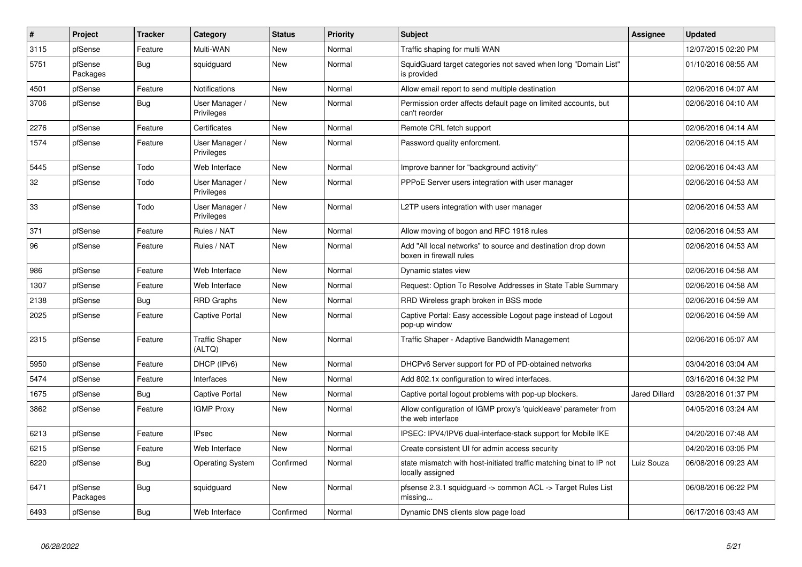| $\#$ | Project             | <b>Tracker</b> | Category                        | <b>Status</b> | Priority | <b>Subject</b>                                                                          | <b>Assignee</b>      | <b>Updated</b>      |
|------|---------------------|----------------|---------------------------------|---------------|----------|-----------------------------------------------------------------------------------------|----------------------|---------------------|
| 3115 | pfSense             | Feature        | Multi-WAN                       | <b>New</b>    | Normal   | Traffic shaping for multi WAN                                                           |                      | 12/07/2015 02:20 PM |
| 5751 | pfSense<br>Packages | <b>Bug</b>     | squidguard                      | <b>New</b>    | Normal   | SquidGuard target categories not saved when long "Domain List"<br>is provided           |                      | 01/10/2016 08:55 AM |
| 4501 | pfSense             | Feature        | <b>Notifications</b>            | New           | Normal   | Allow email report to send multiple destination                                         |                      | 02/06/2016 04:07 AM |
| 3706 | pfSense             | <b>Bug</b>     | User Manager /<br>Privileges    | <b>New</b>    | Normal   | Permission order affects default page on limited accounts, but<br>can't reorder         |                      | 02/06/2016 04:10 AM |
| 2276 | pfSense             | Feature        | Certificates                    | <b>New</b>    | Normal   | Remote CRL fetch support                                                                |                      | 02/06/2016 04:14 AM |
| 1574 | pfSense             | Feature        | User Manager /<br>Privileges    | New           | Normal   | Password quality enforcment.                                                            |                      | 02/06/2016 04:15 AM |
| 5445 | pfSense             | Todo           | Web Interface                   | <b>New</b>    | Normal   | Improve banner for "background activity"                                                |                      | 02/06/2016 04:43 AM |
| 32   | pfSense             | Todo           | User Manager /<br>Privileges    | New           | Normal   | PPPoE Server users integration with user manager                                        |                      | 02/06/2016 04:53 AM |
| 33   | pfSense             | Todo           | User Manager /<br>Privileges    | New           | Normal   | L2TP users integration with user manager                                                |                      | 02/06/2016 04:53 AM |
| 371  | pfSense             | Feature        | Rules / NAT                     | New           | Normal   | Allow moving of bogon and RFC 1918 rules                                                |                      | 02/06/2016 04:53 AM |
| 96   | pfSense             | Feature        | Rules / NAT                     | New           | Normal   | Add "All local networks" to source and destination drop down<br>boxen in firewall rules |                      | 02/06/2016 04:53 AM |
| 986  | pfSense             | Feature        | Web Interface                   | New           | Normal   | Dynamic states view                                                                     |                      | 02/06/2016 04:58 AM |
| 1307 | pfSense             | Feature        | Web Interface                   | <b>New</b>    | Normal   | Request: Option To Resolve Addresses in State Table Summary                             |                      | 02/06/2016 04:58 AM |
| 2138 | pfSense             | Bug            | <b>RRD Graphs</b>               | <b>New</b>    | Normal   | RRD Wireless graph broken in BSS mode                                                   |                      | 02/06/2016 04:59 AM |
| 2025 | pfSense             | Feature        | <b>Captive Portal</b>           | New           | Normal   | Captive Portal: Easy accessible Logout page instead of Logout<br>pop-up window          |                      | 02/06/2016 04:59 AM |
| 2315 | pfSense             | Feature        | <b>Traffic Shaper</b><br>(ALTQ) | <b>New</b>    | Normal   | Traffic Shaper - Adaptive Bandwidth Management                                          |                      | 02/06/2016 05:07 AM |
| 5950 | pfSense             | Feature        | DHCP (IPv6)                     | <b>New</b>    | Normal   | DHCPv6 Server support for PD of PD-obtained networks                                    |                      | 03/04/2016 03:04 AM |
| 5474 | pfSense             | Feature        | Interfaces                      | <b>New</b>    | Normal   | Add 802.1x configuration to wired interfaces.                                           |                      | 03/16/2016 04:32 PM |
| 1675 | pfSense             | <b>Bug</b>     | <b>Captive Portal</b>           | <b>New</b>    | Normal   | Captive portal logout problems with pop-up blockers.                                    | <b>Jared Dillard</b> | 03/28/2016 01:37 PM |
| 3862 | pfSense             | Feature        | <b>IGMP Proxy</b>               | New           | Normal   | Allow configuration of IGMP proxy's 'quickleave' parameter from<br>the web interface    |                      | 04/05/2016 03:24 AM |
| 6213 | pfSense             | Feature        | <b>IPsec</b>                    | <b>New</b>    | Normal   | IPSEC: IPV4/IPV6 dual-interface-stack support for Mobile IKE                            |                      | 04/20/2016 07:48 AM |
| 6215 | pfSense             | Feature        | Web Interface                   | <b>New</b>    | Normal   | Create consistent UI for admin access security                                          |                      | 04/20/2016 03:05 PM |
| 6220 | pfSense             | <b>Bug</b>     | <b>Operating System</b>         | Confirmed     | Normal   | state mismatch with host-initiated traffic matching binat to IP not<br>locally assigned | Luiz Souza           | 06/08/2016 09:23 AM |
| 6471 | pfSense<br>Packages | Bug            | squidguard                      | New           | Normal   | pfsense 2.3.1 squidguard -> common ACL -> Target Rules List<br>missing.                 |                      | 06/08/2016 06:22 PM |
| 6493 | pfSense             | Bug            | Web Interface                   | Confirmed     | Normal   | Dynamic DNS clients slow page load                                                      |                      | 06/17/2016 03:43 AM |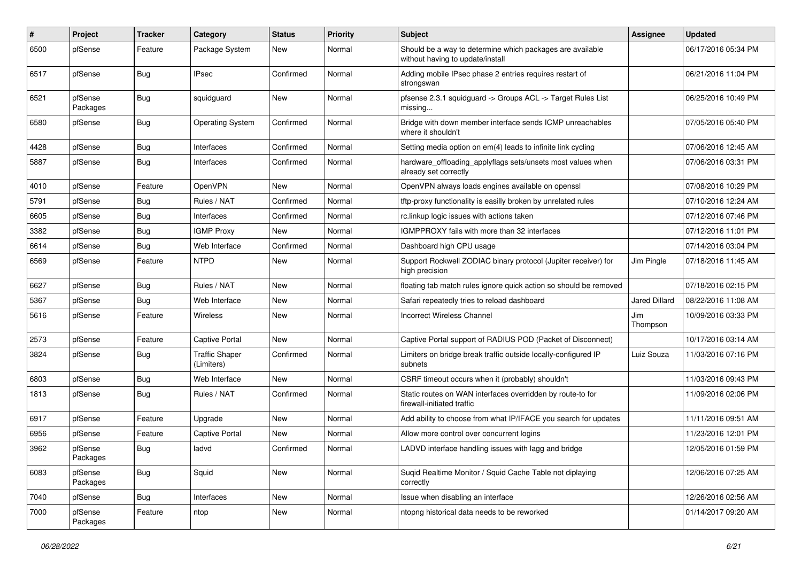| $\#$ | Project             | <b>Tracker</b> | Category                            | <b>Status</b> | <b>Priority</b> | <b>Subject</b>                                                                                | <b>Assignee</b>      | <b>Updated</b>      |
|------|---------------------|----------------|-------------------------------------|---------------|-----------------|-----------------------------------------------------------------------------------------------|----------------------|---------------------|
| 6500 | pfSense             | Feature        | Package System                      | New           | Normal          | Should be a way to determine which packages are available<br>without having to update/install |                      | 06/17/2016 05:34 PM |
| 6517 | pfSense             | Bug            | <b>IPsec</b>                        | Confirmed     | Normal          | Adding mobile IPsec phase 2 entries requires restart of<br>strongswan                         |                      | 06/21/2016 11:04 PM |
| 6521 | pfSense<br>Packages | Bug            | squidguard                          | New           | Normal          | pfsense 2.3.1 squidguard -> Groups ACL -> Target Rules List<br>missing                        |                      | 06/25/2016 10:49 PM |
| 6580 | pfSense             | Bug            | <b>Operating System</b>             | Confirmed     | Normal          | Bridge with down member interface sends ICMP unreachables<br>where it shouldn't               |                      | 07/05/2016 05:40 PM |
| 4428 | pfSense             | <b>Bug</b>     | Interfaces                          | Confirmed     | Normal          | Setting media option on em(4) leads to infinite link cycling                                  |                      | 07/06/2016 12:45 AM |
| 5887 | pfSense             | Bug            | Interfaces                          | Confirmed     | Normal          | hardware_offloading_applyflags sets/unsets most values when<br>already set correctly          |                      | 07/06/2016 03:31 PM |
| 4010 | pfSense             | Feature        | OpenVPN                             | New           | Normal          | OpenVPN always loads engines available on openssl                                             |                      | 07/08/2016 10:29 PM |
| 5791 | pfSense             | <b>Bug</b>     | Rules / NAT                         | Confirmed     | Normal          | tftp-proxy functionality is easilly broken by unrelated rules                                 |                      | 07/10/2016 12:24 AM |
| 6605 | pfSense             | Bug            | Interfaces                          | Confirmed     | Normal          | rc.linkup logic issues with actions taken                                                     |                      | 07/12/2016 07:46 PM |
| 3382 | pfSense             | Bug            | <b>IGMP Proxy</b>                   | New           | Normal          | IGMPPROXY fails with more than 32 interfaces                                                  |                      | 07/12/2016 11:01 PM |
| 6614 | pfSense             | Bug            | Web Interface                       | Confirmed     | Normal          | Dashboard high CPU usage                                                                      |                      | 07/14/2016 03:04 PM |
| 6569 | pfSense             | Feature        | <b>NTPD</b>                         | New           | Normal          | Support Rockwell ZODIAC binary protocol (Jupiter receiver) for<br>high precision              | Jim Pingle           | 07/18/2016 11:45 AM |
| 6627 | pfSense             | Bug            | Rules / NAT                         | New           | Normal          | floating tab match rules ignore quick action so should be removed                             |                      | 07/18/2016 02:15 PM |
| 5367 | pfSense             | <b>Bug</b>     | Web Interface                       | New           | Normal          | Safari repeatedly tries to reload dashboard                                                   | <b>Jared Dillard</b> | 08/22/2016 11:08 AM |
| 5616 | pfSense             | Feature        | Wireless                            | <b>New</b>    | Normal          | <b>Incorrect Wireless Channel</b>                                                             | Jim<br>Thompson      | 10/09/2016 03:33 PM |
| 2573 | pfSense             | Feature        | <b>Captive Portal</b>               | New           | Normal          | Captive Portal support of RADIUS POD (Packet of Disconnect)                                   |                      | 10/17/2016 03:14 AM |
| 3824 | pfSense             | <b>Bug</b>     | <b>Traffic Shaper</b><br>(Limiters) | Confirmed     | Normal          | Limiters on bridge break traffic outside locally-configured IP<br>subnets                     | Luiz Souza           | 11/03/2016 07:16 PM |
| 6803 | pfSense             | <b>Bug</b>     | Web Interface                       | New           | Normal          | CSRF timeout occurs when it (probably) shouldn't                                              |                      | 11/03/2016 09:43 PM |
| 1813 | pfSense             | Bug            | Rules / NAT                         | Confirmed     | Normal          | Static routes on WAN interfaces overridden by route-to for<br>firewall-initiated traffic      |                      | 11/09/2016 02:06 PM |
| 6917 | pfSense             | Feature        | Upgrade                             | <b>New</b>    | Normal          | Add ability to choose from what IP/IFACE you search for updates                               |                      | 11/11/2016 09:51 AM |
| 6956 | pfSense             | Feature        | <b>Captive Portal</b>               | New           | Normal          | Allow more control over concurrent logins                                                     |                      | 11/23/2016 12:01 PM |
| 3962 | pfSense<br>Packages | <b>Bug</b>     | ladvd                               | Confirmed     | Normal          | LADVD interface handling issues with lagg and bridge                                          |                      | 12/05/2016 01:59 PM |
| 6083 | pfSense<br>Packages | <b>Bug</b>     | Squid                               | New           | Normal          | Suqid Realtime Monitor / Squid Cache Table not diplaying<br>correctly                         |                      | 12/06/2016 07:25 AM |
| 7040 | pfSense             | Bug            | Interfaces                          | New           | Normal          | Issue when disabling an interface                                                             |                      | 12/26/2016 02:56 AM |
| 7000 | pfSense<br>Packages | Feature        | ntop                                | New           | Normal          | ntopng historical data needs to be reworked                                                   |                      | 01/14/2017 09:20 AM |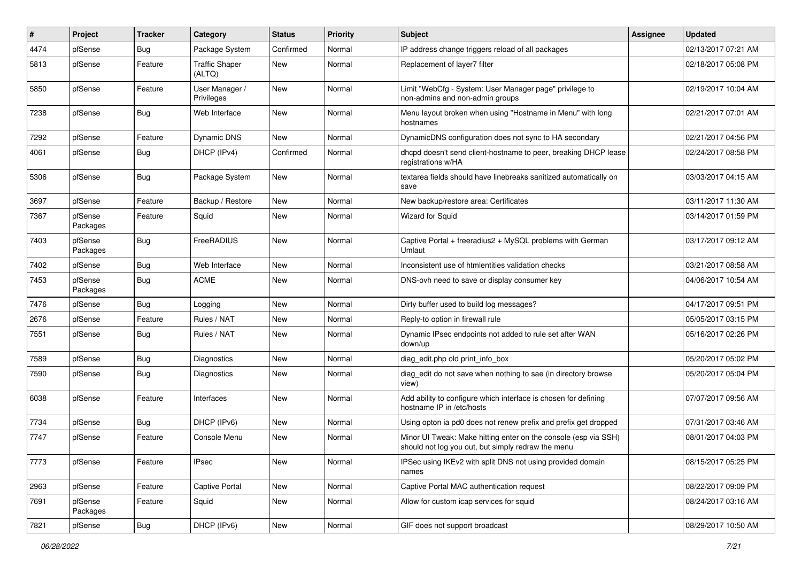| $\sharp$ | Project             | <b>Tracker</b> | Category                        | <b>Status</b> | Priority | Subject                                                                                                               | <b>Assignee</b> | <b>Updated</b>      |
|----------|---------------------|----------------|---------------------------------|---------------|----------|-----------------------------------------------------------------------------------------------------------------------|-----------------|---------------------|
| 4474     | pfSense             | <b>Bug</b>     | Package System                  | Confirmed     | Normal   | IP address change triggers reload of all packages                                                                     |                 | 02/13/2017 07:21 AM |
| 5813     | pfSense             | Feature        | <b>Traffic Shaper</b><br>(ALTQ) | New           | Normal   | Replacement of layer7 filter                                                                                          |                 | 02/18/2017 05:08 PM |
| 5850     | pfSense             | Feature        | User Manager /<br>Privileges    | New           | Normal   | Limit "WebCfg - System: User Manager page" privilege to<br>non-admins and non-admin groups                            |                 | 02/19/2017 10:04 AM |
| 7238     | pfSense             | Bug            | Web Interface                   | New           | Normal   | Menu layout broken when using "Hostname in Menu" with long<br>hostnames                                               |                 | 02/21/2017 07:01 AM |
| 7292     | pfSense             | Feature        | Dynamic DNS                     | New           | Normal   | DynamicDNS configuration does not sync to HA secondary                                                                |                 | 02/21/2017 04:56 PM |
| 4061     | pfSense             | Bug            | DHCP (IPv4)                     | Confirmed     | Normal   | dhcpd doesn't send client-hostname to peer, breaking DHCP lease<br>registrations w/HA                                 |                 | 02/24/2017 08:58 PM |
| 5306     | pfSense             | Bug            | Package System                  | <b>New</b>    | Normal   | textarea fields should have linebreaks sanitized automatically on<br>save                                             |                 | 03/03/2017 04:15 AM |
| 3697     | pfSense             | Feature        | Backup / Restore                | New           | Normal   | New backup/restore area: Certificates                                                                                 |                 | 03/11/2017 11:30 AM |
| 7367     | pfSense<br>Packages | Feature        | Squid                           | New           | Normal   | <b>Wizard for Squid</b>                                                                                               |                 | 03/14/2017 01:59 PM |
| 7403     | pfSense<br>Packages | Bug            | FreeRADIUS                      | New           | Normal   | Captive Portal + freeradius2 + MySQL problems with German<br>Umlaut                                                   |                 | 03/17/2017 09:12 AM |
| 7402     | pfSense             | <b>Bug</b>     | Web Interface                   | New           | Normal   | Inconsistent use of htmlentities validation checks                                                                    |                 | 03/21/2017 08:58 AM |
| 7453     | pfSense<br>Packages | <b>Bug</b>     | <b>ACME</b>                     | <b>New</b>    | Normal   | DNS-ovh need to save or display consumer key                                                                          |                 | 04/06/2017 10:54 AM |
| 7476     | pfSense             | Bug            | Logging                         | New           | Normal   | Dirty buffer used to build log messages?                                                                              |                 | 04/17/2017 09:51 PM |
| 2676     | pfSense             | Feature        | Rules / NAT                     | New           | Normal   | Reply-to option in firewall rule                                                                                      |                 | 05/05/2017 03:15 PM |
| 7551     | pfSense             | Bug            | Rules / NAT                     | New           | Normal   | Dynamic IPsec endpoints not added to rule set after WAN<br>down/up                                                    |                 | 05/16/2017 02:26 PM |
| 7589     | pfSense             | Bug            | Diagnostics                     | New           | Normal   | diag edit.php old print info box                                                                                      |                 | 05/20/2017 05:02 PM |
| 7590     | pfSense             | <b>Bug</b>     | Diagnostics                     | New           | Normal   | diag_edit do not save when nothing to sae (in directory browse<br>view)                                               |                 | 05/20/2017 05:04 PM |
| 6038     | pfSense             | Feature        | Interfaces                      | New           | Normal   | Add ability to configure which interface is chosen for defining<br>hostname IP in /etc/hosts                          |                 | 07/07/2017 09:56 AM |
| 7734     | pfSense             | <b>Bug</b>     | DHCP (IPv6)                     | <b>New</b>    | Normal   | Using opton ia pd0 does not renew prefix and prefix get dropped                                                       |                 | 07/31/2017 03:46 AM |
| 7747     | pfSense             | Feature        | Console Menu                    | New           | Normal   | Minor UI Tweak: Make hitting enter on the console (esp via SSH)<br>should not log you out, but simply redraw the menu |                 | 08/01/2017 04:03 PM |
| 7773     | pfSense             | Feature        | <b>IPsec</b>                    | New           | Normal   | IPSec using IKEv2 with split DNS not using provided domain<br>names                                                   |                 | 08/15/2017 05:25 PM |
| 2963     | pfSense             | Feature        | Captive Portal                  | New           | Normal   | Captive Portal MAC authentication request                                                                             |                 | 08/22/2017 09:09 PM |
| 7691     | pfSense<br>Packages | Feature        | Squid                           | New           | Normal   | Allow for custom icap services for squid                                                                              |                 | 08/24/2017 03:16 AM |
| 7821     | pfSense             | <b>Bug</b>     | DHCP (IPv6)                     | New           | Normal   | GIF does not support broadcast                                                                                        |                 | 08/29/2017 10:50 AM |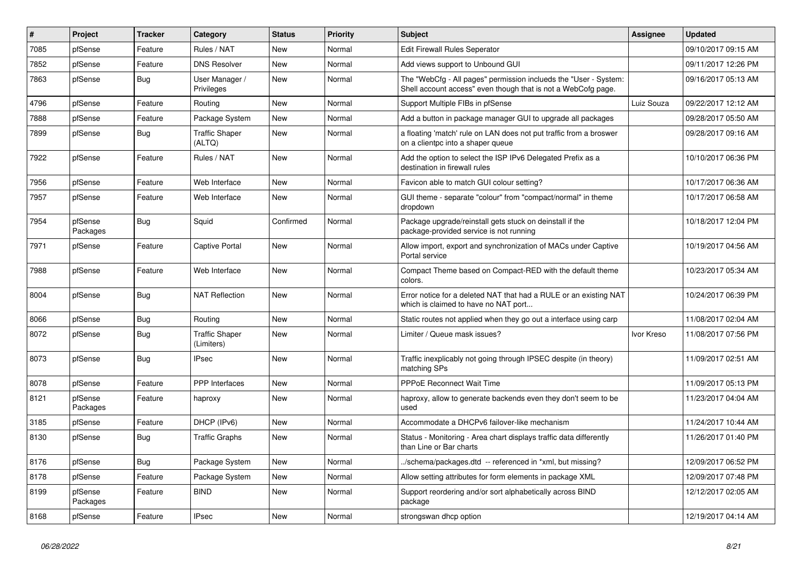| $\pmb{\#}$ | Project             | <b>Tracker</b> | Category                            | <b>Status</b> | <b>Priority</b> | <b>Subject</b>                                                                                                                    | <b>Assignee</b> | <b>Updated</b>      |
|------------|---------------------|----------------|-------------------------------------|---------------|-----------------|-----------------------------------------------------------------------------------------------------------------------------------|-----------------|---------------------|
| 7085       | pfSense             | Feature        | Rules / NAT                         | <b>New</b>    | Normal          | Edit Firewall Rules Seperator                                                                                                     |                 | 09/10/2017 09:15 AM |
| 7852       | pfSense             | Feature        | <b>DNS Resolver</b>                 | <b>New</b>    | Normal          | Add views support to Unbound GUI                                                                                                  |                 | 09/11/2017 12:26 PM |
| 7863       | pfSense             | <b>Bug</b>     | User Manager /<br>Privileges        | New           | Normal          | The "WebCfg - All pages" permission inclueds the "User - System:<br>Shell account access" even though that is not a WebCofg page. |                 | 09/16/2017 05:13 AM |
| 4796       | pfSense             | Feature        | Routing                             | <b>New</b>    | Normal          | Support Multiple FIBs in pfSense                                                                                                  | Luiz Souza      | 09/22/2017 12:12 AM |
| 7888       | pfSense             | Feature        | Package System                      | New           | Normal          | Add a button in package manager GUI to upgrade all packages                                                                       |                 | 09/28/2017 05:50 AM |
| 7899       | pfSense             | Bug            | <b>Traffic Shaper</b><br>(ALTQ)     | New           | Normal          | a floating 'match' rule on LAN does not put traffic from a broswer<br>on a clientpc into a shaper queue                           |                 | 09/28/2017 09:16 AM |
| 7922       | pfSense             | Feature        | Rules / NAT                         | New           | Normal          | Add the option to select the ISP IPv6 Delegated Prefix as a<br>destination in firewall rules                                      |                 | 10/10/2017 06:36 PM |
| 7956       | pfSense             | Feature        | Web Interface                       | New           | Normal          | Favicon able to match GUI colour setting?                                                                                         |                 | 10/17/2017 06:36 AM |
| 7957       | pfSense             | Feature        | Web Interface                       | New           | Normal          | GUI theme - separate "colour" from "compact/normal" in theme<br>dropdown                                                          |                 | 10/17/2017 06:58 AM |
| 7954       | pfSense<br>Packages | Bug            | Squid                               | Confirmed     | Normal          | Package upgrade/reinstall gets stuck on deinstall if the<br>package-provided service is not running                               |                 | 10/18/2017 12:04 PM |
| 7971       | pfSense             | Feature        | <b>Captive Portal</b>               | New           | Normal          | Allow import, export and synchronization of MACs under Captive<br>Portal service                                                  |                 | 10/19/2017 04:56 AM |
| 7988       | pfSense             | Feature        | Web Interface                       | New           | Normal          | Compact Theme based on Compact-RED with the default theme<br>colors.                                                              |                 | 10/23/2017 05:34 AM |
| 8004       | pfSense             | Bug            | <b>NAT Reflection</b>               | New           | Normal          | Error notice for a deleted NAT that had a RULE or an existing NAT<br>which is claimed to have no NAT port                         |                 | 10/24/2017 06:39 PM |
| 8066       | pfSense             | <b>Bug</b>     | Routing                             | <b>New</b>    | Normal          | Static routes not applied when they go out a interface using carp                                                                 |                 | 11/08/2017 02:04 AM |
| 8072       | pfSense             | <b>Bug</b>     | <b>Traffic Shaper</b><br>(Limiters) | New           | Normal          | Limiter / Queue mask issues?                                                                                                      | Ivor Kreso      | 11/08/2017 07:56 PM |
| 8073       | pfSense             | <b>Bug</b>     | <b>IPsec</b>                        | New           | Normal          | Traffic inexplicably not going through IPSEC despite (in theory)<br>matching SPs                                                  |                 | 11/09/2017 02:51 AM |
| 8078       | pfSense             | Feature        | <b>PPP</b> Interfaces               | <b>New</b>    | Normal          | <b>PPPoE Reconnect Wait Time</b>                                                                                                  |                 | 11/09/2017 05:13 PM |
| 8121       | pfSense<br>Packages | Feature        | haproxy                             | New           | Normal          | haproxy, allow to generate backends even they don't seem to be<br>used                                                            |                 | 11/23/2017 04:04 AM |
| 3185       | pfSense             | Feature        | DHCP (IPv6)                         | New           | Normal          | Accommodate a DHCPv6 failover-like mechanism                                                                                      |                 | 11/24/2017 10:44 AM |
| 8130       | pfSense             | Bug            | <b>Traffic Graphs</b>               | <b>New</b>    | Normal          | Status - Monitoring - Area chart displays traffic data differently<br>than Line or Bar charts                                     |                 | 11/26/2017 01:40 PM |
| 8176       | pfSense             | Bug            | Package System                      | New           | Normal          | /schema/packages.dtd -- referenced in *xml, but missing?                                                                          |                 | 12/09/2017 06:52 PM |
| 8178       | pfSense             | Feature        | Package System                      | New           | Normal          | Allow setting attributes for form elements in package XML                                                                         |                 | 12/09/2017 07:48 PM |
| 8199       | pfSense<br>Packages | Feature        | <b>BIND</b>                         | New           | Normal          | Support reordering and/or sort alphabetically across BIND<br>package                                                              |                 | 12/12/2017 02:05 AM |
| 8168       | pfSense             | Feature        | <b>IPsec</b>                        | New           | Normal          | strongswan dhcp option                                                                                                            |                 | 12/19/2017 04:14 AM |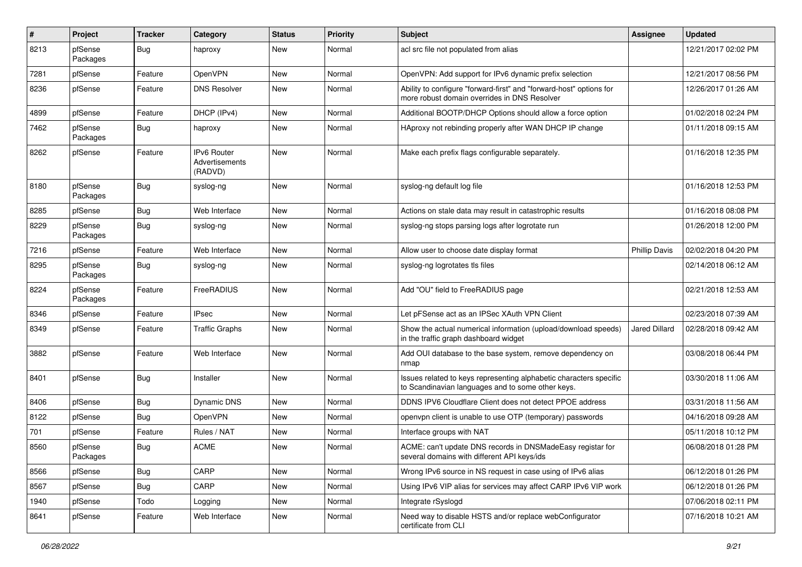| $\pmb{\#}$ | Project             | <b>Tracker</b> | Category                                               | <b>Status</b> | <b>Priority</b> | <b>Subject</b>                                                                                                          | <b>Assignee</b>      | <b>Updated</b>      |
|------------|---------------------|----------------|--------------------------------------------------------|---------------|-----------------|-------------------------------------------------------------------------------------------------------------------------|----------------------|---------------------|
| 8213       | pfSense<br>Packages | <b>Bug</b>     | haproxy                                                | New           | Normal          | acl src file not populated from alias                                                                                   |                      | 12/21/2017 02:02 PM |
| 7281       | pfSense             | Feature        | OpenVPN                                                | New           | Normal          | OpenVPN: Add support for IPv6 dynamic prefix selection                                                                  |                      | 12/21/2017 08:56 PM |
| 8236       | pfSense             | Feature        | <b>DNS Resolver</b>                                    | New           | Normal          | Ability to configure "forward-first" and "forward-host" options for<br>more robust domain overrides in DNS Resolver     |                      | 12/26/2017 01:26 AM |
| 4899       | pfSense             | Feature        | DHCP (IPv4)                                            | New           | Normal          | Additional BOOTP/DHCP Options should allow a force option                                                               |                      | 01/02/2018 02:24 PM |
| 7462       | pfSense<br>Packages | Bug            | haproxy                                                | New           | Normal          | HAproxy not rebinding properly after WAN DHCP IP change                                                                 |                      | 01/11/2018 09:15 AM |
| 8262       | pfSense             | Feature        | <b>IPv6 Router</b><br><b>Advertisements</b><br>(RADVD) | New           | Normal          | Make each prefix flags configurable separately.                                                                         |                      | 01/16/2018 12:35 PM |
| 8180       | pfSense<br>Packages | <b>Bug</b>     | syslog-ng                                              | New           | Normal          | syslog-ng default log file                                                                                              |                      | 01/16/2018 12:53 PM |
| 8285       | pfSense             | <b>Bug</b>     | Web Interface                                          | New           | Normal          | Actions on stale data may result in catastrophic results                                                                |                      | 01/16/2018 08:08 PM |
| 8229       | pfSense<br>Packages | <b>Bug</b>     | syslog-ng                                              | New           | Normal          | syslog-ng stops parsing logs after logrotate run                                                                        |                      | 01/26/2018 12:00 PM |
| 7216       | pfSense             | Feature        | Web Interface                                          | New           | Normal          | Allow user to choose date display format                                                                                | <b>Phillip Davis</b> | 02/02/2018 04:20 PM |
| 8295       | pfSense<br>Packages | <b>Bug</b>     | syslog-ng                                              | New           | Normal          | syslog-ng logrotates tls files                                                                                          |                      | 02/14/2018 06:12 AM |
| 8224       | pfSense<br>Packages | Feature        | FreeRADIUS                                             | New           | Normal          | Add "OU" field to FreeRADIUS page                                                                                       |                      | 02/21/2018 12:53 AM |
| 8346       | pfSense             | Feature        | <b>IPsec</b>                                           | <b>New</b>    | Normal          | Let pFSense act as an IPSec XAuth VPN Client                                                                            |                      | 02/23/2018 07:39 AM |
| 8349       | pfSense             | Feature        | <b>Traffic Graphs</b>                                  | New           | Normal          | Show the actual numerical information (upload/download speeds)<br>in the traffic graph dashboard widget                 | Jared Dillard        | 02/28/2018 09:42 AM |
| 3882       | pfSense             | Feature        | Web Interface                                          | New           | Normal          | Add OUI database to the base system, remove dependency on<br>nmap                                                       |                      | 03/08/2018 06:44 PM |
| 8401       | pfSense             | <b>Bug</b>     | Installer                                              | New           | Normal          | Issues related to keys representing alphabetic characters specific<br>to Scandinavian languages and to some other keys. |                      | 03/30/2018 11:06 AM |
| 8406       | pfSense             | <b>Bug</b>     | Dynamic DNS                                            | New           | Normal          | DDNS IPV6 Cloudflare Client does not detect PPOE address                                                                |                      | 03/31/2018 11:56 AM |
| 8122       | pfSense             | <b>Bug</b>     | OpenVPN                                                | <b>New</b>    | Normal          | openvpn client is unable to use OTP (temporary) passwords                                                               |                      | 04/16/2018 09:28 AM |
| 701        | pfSense             | Feature        | Rules / NAT                                            | New           | Normal          | Interface groups with NAT                                                                                               |                      | 05/11/2018 10:12 PM |
| 8560       | pfSense<br>Packages | <b>Bug</b>     | <b>ACME</b>                                            | New           | Normal          | ACME: can't update DNS records in DNSMadeEasy registar for<br>several domains with different API keys/ids               |                      | 06/08/2018 01:28 PM |
| 8566       | pfSense             | <b>Bug</b>     | CARP                                                   | New           | Normal          | Wrong IPv6 source in NS request in case using of IPv6 alias                                                             |                      | 06/12/2018 01:26 PM |
| 8567       | pfSense             | Bug            | CARP                                                   | New           | Normal          | Using IPv6 VIP alias for services may affect CARP IPv6 VIP work                                                         |                      | 06/12/2018 01:26 PM |
| 1940       | pfSense             | Todo           | Logging                                                | New           | Normal          | Integrate rSyslogd                                                                                                      |                      | 07/06/2018 02:11 PM |
| 8641       | pfSense             | Feature        | Web Interface                                          | New           | Normal          | Need way to disable HSTS and/or replace webConfigurator<br>certificate from CLI                                         |                      | 07/16/2018 10:21 AM |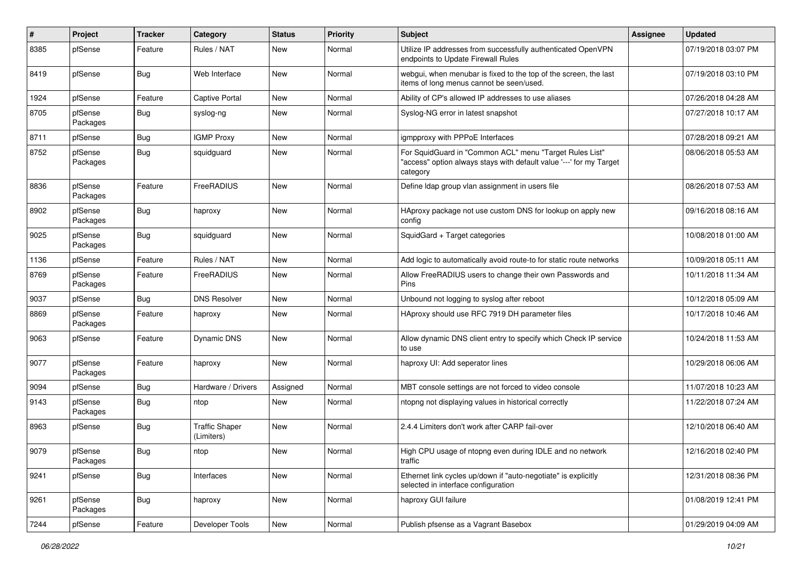| $\pmb{\#}$ | Project             | <b>Tracker</b> | Category                            | <b>Status</b> | <b>Priority</b> | <b>Subject</b>                                                                                                                             | <b>Assignee</b> | <b>Updated</b>      |
|------------|---------------------|----------------|-------------------------------------|---------------|-----------------|--------------------------------------------------------------------------------------------------------------------------------------------|-----------------|---------------------|
| 8385       | pfSense             | Feature        | Rules / NAT                         | New           | Normal          | Utilize IP addresses from successfully authenticated OpenVPN<br>endpoints to Update Firewall Rules                                         |                 | 07/19/2018 03:07 PM |
| 8419       | pfSense             | Bug            | Web Interface                       | <b>New</b>    | Normal          | webgui, when menubar is fixed to the top of the screen, the last<br>items of long menus cannot be seen/used.                               |                 | 07/19/2018 03:10 PM |
| 1924       | pfSense             | Feature        | <b>Captive Portal</b>               | New           | Normal          | Ability of CP's allowed IP addresses to use aliases                                                                                        |                 | 07/26/2018 04:28 AM |
| 8705       | pfSense<br>Packages | <b>Bug</b>     | syslog-ng                           | New           | Normal          | Syslog-NG error in latest snapshot                                                                                                         |                 | 07/27/2018 10:17 AM |
| 8711       | pfSense             | Bug            | <b>IGMP Proxy</b>                   | <b>New</b>    | Normal          | igmpproxy with PPPoE Interfaces                                                                                                            |                 | 07/28/2018 09:21 AM |
| 8752       | pfSense<br>Packages | <b>Bug</b>     | squidguard                          | New           | Normal          | For SquidGuard in "Common ACL" menu "Target Rules List"<br>"access" option always stays with default value '---' for my Target<br>category |                 | 08/06/2018 05:53 AM |
| 8836       | pfSense<br>Packages | Feature        | FreeRADIUS                          | <b>New</b>    | Normal          | Define Idap group vlan assignment in users file                                                                                            |                 | 08/26/2018 07:53 AM |
| 8902       | pfSense<br>Packages | <b>Bug</b>     | haproxy                             | New           | Normal          | HAproxy package not use custom DNS for lookup on apply new<br>config                                                                       |                 | 09/16/2018 08:16 AM |
| 9025       | pfSense<br>Packages | <b>Bug</b>     | squidguard                          | New           | Normal          | SquidGard + Target categories                                                                                                              |                 | 10/08/2018 01:00 AM |
| 1136       | pfSense             | Feature        | Rules / NAT                         | New           | Normal          | Add logic to automatically avoid route-to for static route networks                                                                        |                 | 10/09/2018 05:11 AM |
| 8769       | pfSense<br>Packages | Feature        | FreeRADIUS                          | <b>New</b>    | Normal          | Allow FreeRADIUS users to change their own Passwords and<br><b>Pins</b>                                                                    |                 | 10/11/2018 11:34 AM |
| 9037       | pfSense             | <b>Bug</b>     | <b>DNS Resolver</b>                 | <b>New</b>    | Normal          | Unbound not logging to syslog after reboot                                                                                                 |                 | 10/12/2018 05:09 AM |
| 8869       | pfSense<br>Packages | Feature        | haproxy                             | New           | Normal          | HAproxy should use RFC 7919 DH parameter files                                                                                             |                 | 10/17/2018 10:46 AM |
| 9063       | pfSense             | Feature        | Dynamic DNS                         | New           | Normal          | Allow dynamic DNS client entry to specify which Check IP service<br>to use                                                                 |                 | 10/24/2018 11:53 AM |
| 9077       | pfSense<br>Packages | Feature        | haproxy                             | New           | Normal          | haproxy UI: Add seperator lines                                                                                                            |                 | 10/29/2018 06:06 AM |
| 9094       | pfSense             | <b>Bug</b>     | Hardware / Drivers                  | Assigned      | Normal          | MBT console settings are not forced to video console                                                                                       |                 | 11/07/2018 10:23 AM |
| 9143       | pfSense<br>Packages | <b>Bug</b>     | ntop                                | New           | Normal          | ntopng not displaying values in historical correctly                                                                                       |                 | 11/22/2018 07:24 AM |
| 8963       | pfSense             | <b>Bug</b>     | <b>Traffic Shaper</b><br>(Limiters) | New           | Normal          | 2.4.4 Limiters don't work after CARP fail-over                                                                                             |                 | 12/10/2018 06:40 AM |
| 9079       | pfSense<br>Packages | Bug            | ntop                                | New           | Normal          | High CPU usage of ntopng even during IDLE and no network<br>traffic                                                                        |                 | 12/16/2018 02:40 PM |
| 9241       | pfSense             | Bug            | Interfaces                          | New           | Normal          | Ethernet link cycles up/down if "auto-negotiate" is explicitly<br>selected in interface configuration                                      |                 | 12/31/2018 08:36 PM |
| 9261       | pfSense<br>Packages | Bug            | haproxy                             | New           | Normal          | haproxy GUI failure                                                                                                                        |                 | 01/08/2019 12:41 PM |
| 7244       | pfSense             | Feature        | Developer Tools                     | New           | Normal          | Publish pfsense as a Vagrant Basebox                                                                                                       |                 | 01/29/2019 04:09 AM |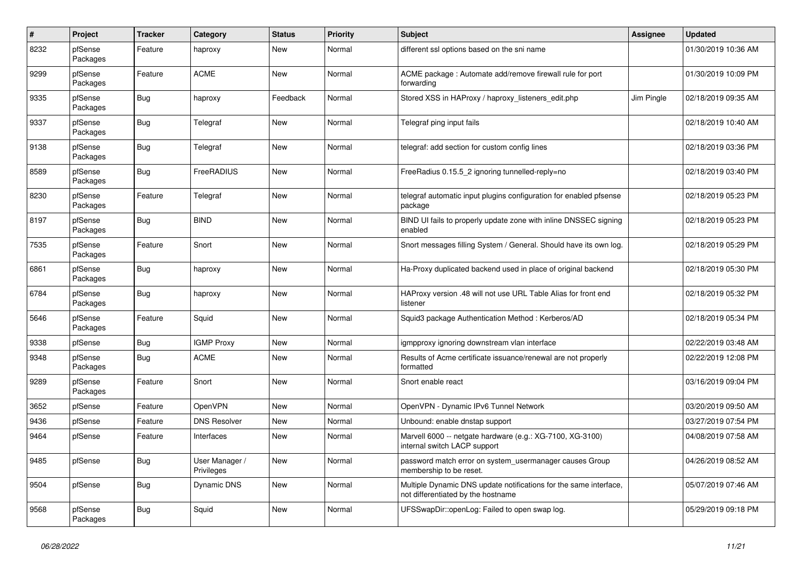| $\sharp$ | Project             | <b>Tracker</b> | Category                     | Status     | <b>Priority</b> | <b>Subject</b>                                                                                          | Assignee   | <b>Updated</b>      |
|----------|---------------------|----------------|------------------------------|------------|-----------------|---------------------------------------------------------------------------------------------------------|------------|---------------------|
| 8232     | pfSense<br>Packages | Feature        | haproxy                      | <b>New</b> | Normal          | different ssl options based on the sni name                                                             |            | 01/30/2019 10:36 AM |
| 9299     | pfSense<br>Packages | Feature        | <b>ACME</b>                  | <b>New</b> | Normal          | ACME package: Automate add/remove firewall rule for port<br>forwarding                                  |            | 01/30/2019 10:09 PM |
| 9335     | pfSense<br>Packages | <b>Bug</b>     | haproxy                      | Feedback   | Normal          | Stored XSS in HAProxy / haproxy listeners edit.php                                                      | Jim Pingle | 02/18/2019 09:35 AM |
| 9337     | pfSense<br>Packages | <b>Bug</b>     | Telegraf                     | New        | Normal          | Telegraf ping input fails                                                                               |            | 02/18/2019 10:40 AM |
| 9138     | pfSense<br>Packages | <b>Bug</b>     | Telegraf                     | New        | Normal          | telegraf: add section for custom config lines                                                           |            | 02/18/2019 03:36 PM |
| 8589     | pfSense<br>Packages | Bug            | FreeRADIUS                   | New        | Normal          | FreeRadius 0.15.5 2 ignoring tunnelled-reply=no                                                         |            | 02/18/2019 03:40 PM |
| 8230     | pfSense<br>Packages | Feature        | Telegraf                     | New        | Normal          | telegraf automatic input plugins configuration for enabled pfsense<br>package                           |            | 02/18/2019 05:23 PM |
| 8197     | pfSense<br>Packages | <b>Bug</b>     | <b>BIND</b>                  | New        | Normal          | BIND UI fails to properly update zone with inline DNSSEC signing<br>enabled                             |            | 02/18/2019 05:23 PM |
| 7535     | pfSense<br>Packages | Feature        | Snort                        | New        | Normal          | Snort messages filling System / General. Should have its own log.                                       |            | 02/18/2019 05:29 PM |
| 6861     | pfSense<br>Packages | <b>Bug</b>     | haproxy                      | New        | Normal          | Ha-Proxy duplicated backend used in place of original backend                                           |            | 02/18/2019 05:30 PM |
| 6784     | pfSense<br>Packages | <b>Bug</b>     | haproxy                      | New        | Normal          | HAProxy version .48 will not use URL Table Alias for front end<br>listener                              |            | 02/18/2019 05:32 PM |
| 5646     | pfSense<br>Packages | Feature        | Squid                        | New        | Normal          | Squid3 package Authentication Method: Kerberos/AD                                                       |            | 02/18/2019 05:34 PM |
| 9338     | pfSense             | Bug            | <b>IGMP Proxy</b>            | New        | Normal          | igmpproxy ignoring downstream vlan interface                                                            |            | 02/22/2019 03:48 AM |
| 9348     | pfSense<br>Packages | <b>Bug</b>     | <b>ACME</b>                  | New        | Normal          | Results of Acme certificate issuance/renewal are not properly<br>formatted                              |            | 02/22/2019 12:08 PM |
| 9289     | pfSense<br>Packages | Feature        | Snort                        | <b>New</b> | Normal          | Snort enable react                                                                                      |            | 03/16/2019 09:04 PM |
| 3652     | pfSense             | Feature        | OpenVPN                      | New        | Normal          | OpenVPN - Dynamic IPv6 Tunnel Network                                                                   |            | 03/20/2019 09:50 AM |
| 9436     | pfSense             | Feature        | <b>DNS Resolver</b>          | New        | Normal          | Unbound: enable dnstap support                                                                          |            | 03/27/2019 07:54 PM |
| 9464     | pfSense             | Feature        | Interfaces                   | New        | Normal          | Marvell 6000 -- netgate hardware (e.g.: XG-7100, XG-3100)<br>internal switch LACP support               |            | 04/08/2019 07:58 AM |
| 9485     | pfSense             | <b>Bug</b>     | User Manager /<br>Privileges | New        | Normal          | password match error on system usermanager causes Group<br>membership to be reset.                      |            | 04/26/2019 08:52 AM |
| 9504     | pfSense             | <b>Bug</b>     | Dynamic DNS                  | <b>New</b> | Normal          | Multiple Dynamic DNS update notifications for the same interface,<br>not differentiated by the hostname |            | 05/07/2019 07:46 AM |
| 9568     | pfSense<br>Packages | <b>Bug</b>     | Squid                        | <b>New</b> | Normal          | UFSSwapDir::openLog: Failed to open swap log.                                                           |            | 05/29/2019 09:18 PM |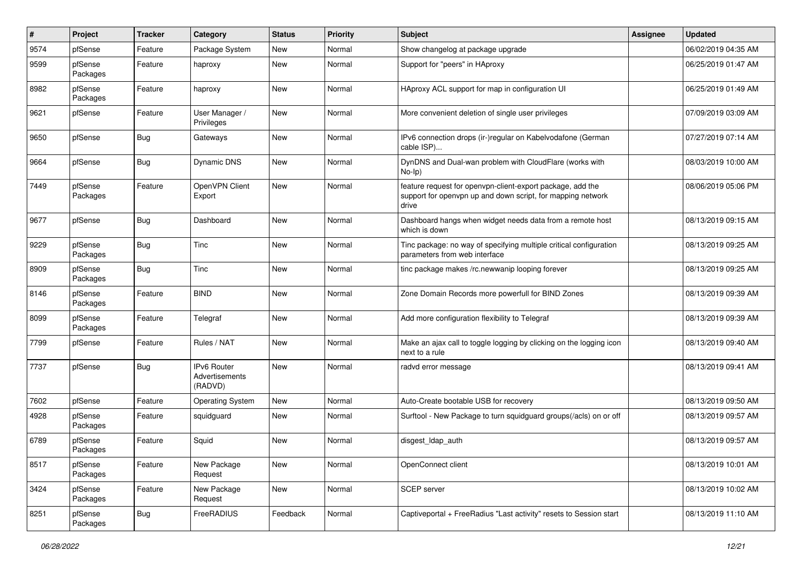| #    | Project             | <b>Tracker</b> | Category                                        | <b>Status</b> | Priority | Subject                                                                                                                            | <b>Assignee</b> | <b>Updated</b>      |
|------|---------------------|----------------|-------------------------------------------------|---------------|----------|------------------------------------------------------------------------------------------------------------------------------------|-----------------|---------------------|
| 9574 | pfSense             | Feature        | Package System                                  | New           | Normal   | Show changelog at package upgrade                                                                                                  |                 | 06/02/2019 04:35 AM |
| 9599 | pfSense<br>Packages | Feature        | haproxy                                         | New           | Normal   | Support for "peers" in HAproxy                                                                                                     |                 | 06/25/2019 01:47 AM |
| 8982 | pfSense<br>Packages | Feature        | haproxy                                         | New           | Normal   | HAproxy ACL support for map in configuration UI                                                                                    |                 | 06/25/2019 01:49 AM |
| 9621 | pfSense             | Feature        | User Manager /<br>Privileges                    | New           | Normal   | More convenient deletion of single user privileges                                                                                 |                 | 07/09/2019 03:09 AM |
| 9650 | pfSense             | Bug            | Gateways                                        | New           | Normal   | IPv6 connection drops (ir-)regular on Kabelvodafone (German<br>cable ISP)                                                          |                 | 07/27/2019 07:14 AM |
| 9664 | pfSense             | Bug            | Dynamic DNS                                     | New           | Normal   | DynDNS and Dual-wan problem with CloudFlare (works with<br>$No-Ip)$                                                                |                 | 08/03/2019 10:00 AM |
| 7449 | pfSense<br>Packages | Feature        | OpenVPN Client<br>Export                        | New           | Normal   | feature request for openvpn-client-export package, add the<br>support for openvpn up and down script, for mapping network<br>drive |                 | 08/06/2019 05:06 PM |
| 9677 | pfSense             | Bug            | Dashboard                                       | New           | Normal   | Dashboard hangs when widget needs data from a remote host<br>which is down                                                         |                 | 08/13/2019 09:15 AM |
| 9229 | pfSense<br>Packages | Bug            | Tinc                                            | New           | Normal   | Tinc package: no way of specifying multiple critical configuration<br>parameters from web interface                                |                 | 08/13/2019 09:25 AM |
| 8909 | pfSense<br>Packages | <b>Bug</b>     | Tinc                                            | <b>New</b>    | Normal   | tinc package makes /rc.newwanip looping forever                                                                                    |                 | 08/13/2019 09:25 AM |
| 8146 | pfSense<br>Packages | Feature        | <b>BIND</b>                                     | New           | Normal   | Zone Domain Records more powerfull for BIND Zones                                                                                  |                 | 08/13/2019 09:39 AM |
| 8099 | pfSense<br>Packages | Feature        | Telegraf                                        | New           | Normal   | Add more configuration flexibility to Telegraf                                                                                     |                 | 08/13/2019 09:39 AM |
| 7799 | pfSense             | Feature        | Rules / NAT                                     | New           | Normal   | Make an ajax call to toggle logging by clicking on the logging icon<br>next to a rule                                              |                 | 08/13/2019 09:40 AM |
| 7737 | pfSense             | <b>Bug</b>     | <b>IPv6 Router</b><br>Advertisements<br>(RADVD) | <b>New</b>    | Normal   | radvd error message                                                                                                                |                 | 08/13/2019 09:41 AM |
| 7602 | pfSense             | Feature        | <b>Operating System</b>                         | <b>New</b>    | Normal   | Auto-Create bootable USB for recovery                                                                                              |                 | 08/13/2019 09:50 AM |
| 4928 | pfSense<br>Packages | Feature        | squidguard                                      | New           | Normal   | Surftool - New Package to turn squidguard groups(/acls) on or off                                                                  |                 | 08/13/2019 09:57 AM |
| 6789 | pfSense<br>Packages | Feature        | Squid                                           | <b>New</b>    | Normal   | disgest_ldap_auth                                                                                                                  |                 | 08/13/2019 09:57 AM |
| 8517 | pfSense<br>Packages | Feature        | New Package<br>Request                          | New           | Normal   | OpenConnect client                                                                                                                 |                 | 08/13/2019 10:01 AM |
| 3424 | pfSense<br>Packages | Feature        | New Package<br>Request                          | New           | Normal   | SCEP server                                                                                                                        |                 | 08/13/2019 10:02 AM |
| 8251 | pfSense<br>Packages | <b>Bug</b>     | FreeRADIUS                                      | Feedback      | Normal   | Captiveportal + FreeRadius "Last activity" resets to Session start                                                                 |                 | 08/13/2019 11:10 AM |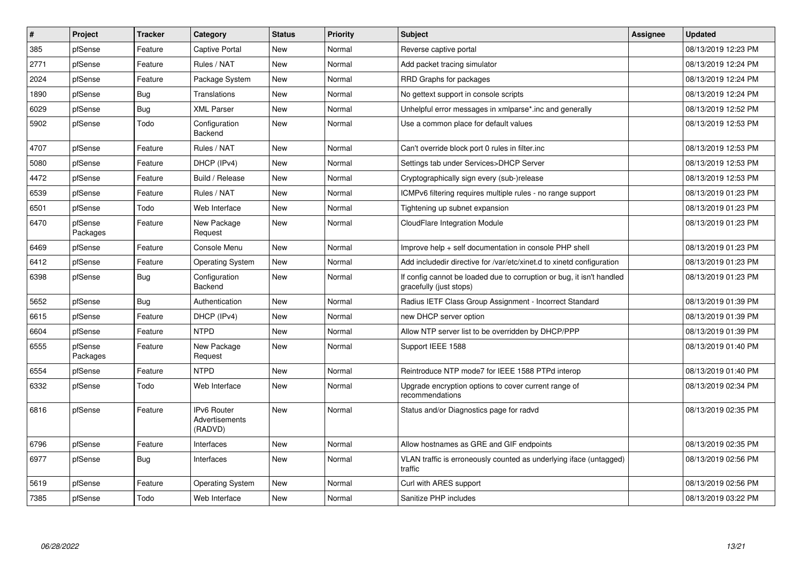| $\pmb{\#}$ | Project             | <b>Tracker</b> | Category                                 | <b>Status</b> | <b>Priority</b> | <b>Subject</b>                                                                                   | <b>Assignee</b> | <b>Updated</b>      |
|------------|---------------------|----------------|------------------------------------------|---------------|-----------------|--------------------------------------------------------------------------------------------------|-----------------|---------------------|
| 385        | pfSense             | Feature        | <b>Captive Portal</b>                    | <b>New</b>    | Normal          | Reverse captive portal                                                                           |                 | 08/13/2019 12:23 PM |
| 2771       | pfSense             | Feature        | Rules / NAT                              | <b>New</b>    | Normal          | Add packet tracing simulator                                                                     |                 | 08/13/2019 12:24 PM |
| 2024       | pfSense             | Feature        | Package System                           | <b>New</b>    | Normal          | RRD Graphs for packages                                                                          |                 | 08/13/2019 12:24 PM |
| 1890       | pfSense             | Bug            | Translations                             | <b>New</b>    | Normal          | No gettext support in console scripts                                                            |                 | 08/13/2019 12:24 PM |
| 6029       | pfSense             | <b>Bug</b>     | <b>XML Parser</b>                        | <b>New</b>    | Normal          | Unhelpful error messages in xmlparse*.inc and generally                                          |                 | 08/13/2019 12:52 PM |
| 5902       | pfSense             | Todo           | Configuration<br>Backend                 | <b>New</b>    | Normal          | Use a common place for default values                                                            |                 | 08/13/2019 12:53 PM |
| 4707       | pfSense             | Feature        | Rules / NAT                              | <b>New</b>    | Normal          | Can't override block port 0 rules in filter.inc                                                  |                 | 08/13/2019 12:53 PM |
| 5080       | pfSense             | Feature        | DHCP (IPv4)                              | <b>New</b>    | Normal          | Settings tab under Services>DHCP Server                                                          |                 | 08/13/2019 12:53 PM |
| 4472       | pfSense             | Feature        | Build / Release                          | <b>New</b>    | Normal          | Cryptographically sign every (sub-)release                                                       |                 | 08/13/2019 12:53 PM |
| 6539       | pfSense             | Feature        | Rules / NAT                              | <b>New</b>    | Normal          | ICMPv6 filtering requires multiple rules - no range support                                      |                 | 08/13/2019 01:23 PM |
| 6501       | pfSense             | Todo           | Web Interface                            | New           | Normal          | Tightening up subnet expansion                                                                   |                 | 08/13/2019 01:23 PM |
| 6470       | pfSense<br>Packages | Feature        | New Package<br>Request                   | New           | Normal          | CloudFlare Integration Module                                                                    |                 | 08/13/2019 01:23 PM |
| 6469       | pfSense             | Feature        | Console Menu                             | <b>New</b>    | Normal          | Improve help + self documentation in console PHP shell                                           |                 | 08/13/2019 01:23 PM |
| 6412       | pfSense             | Feature        | <b>Operating System</b>                  | New           | Normal          | Add includedir directive for /var/etc/xinet.d to xinetd configuration                            |                 | 08/13/2019 01:23 PM |
| 6398       | pfSense             | Bug            | Configuration<br>Backend                 | <b>New</b>    | Normal          | If config cannot be loaded due to corruption or bug, it isn't handled<br>gracefully (just stops) |                 | 08/13/2019 01:23 PM |
| 5652       | pfSense             | <b>Bug</b>     | Authentication                           | <b>New</b>    | Normal          | Radius IETF Class Group Assignment - Incorrect Standard                                          |                 | 08/13/2019 01:39 PM |
| 6615       | pfSense             | Feature        | DHCP (IPv4)                              | <b>New</b>    | Normal          | new DHCP server option                                                                           |                 | 08/13/2019 01:39 PM |
| 6604       | pfSense             | Feature        | <b>NTPD</b>                              | <b>New</b>    | Normal          | Allow NTP server list to be overridden by DHCP/PPP                                               |                 | 08/13/2019 01:39 PM |
| 6555       | pfSense<br>Packages | Feature        | New Package<br>Request                   | New           | Normal          | Support IEEE 1588                                                                                |                 | 08/13/2019 01:40 PM |
| 6554       | pfSense             | Feature        | <b>NTPD</b>                              | <b>New</b>    | Normal          | Reintroduce NTP mode7 for IEEE 1588 PTPd interop                                                 |                 | 08/13/2019 01:40 PM |
| 6332       | pfSense             | Todo           | Web Interface                            | <b>New</b>    | Normal          | Upgrade encryption options to cover current range of<br>recommendations                          |                 | 08/13/2019 02:34 PM |
| 6816       | pfSense             | Feature        | IPv6 Router<br>Advertisements<br>(RADVD) | New           | Normal          | Status and/or Diagnostics page for radvd                                                         |                 | 08/13/2019 02:35 PM |
| 6796       | pfSense             | Feature        | Interfaces                               | <b>New</b>    | Normal          | Allow hostnames as GRE and GIF endpoints                                                         |                 | 08/13/2019 02:35 PM |
| 6977       | pfSense             | Bug            | Interfaces                               | New           | Normal          | VLAN traffic is erroneously counted as underlying iface (untagged)<br>traffic                    |                 | 08/13/2019 02:56 PM |
| 5619       | pfSense             | Feature        | <b>Operating System</b>                  | New           | Normal          | Curl with ARES support                                                                           |                 | 08/13/2019 02:56 PM |
| 7385       | pfSense             | Todo           | Web Interface                            | <b>New</b>    | Normal          | Sanitize PHP includes                                                                            |                 | 08/13/2019 03:22 PM |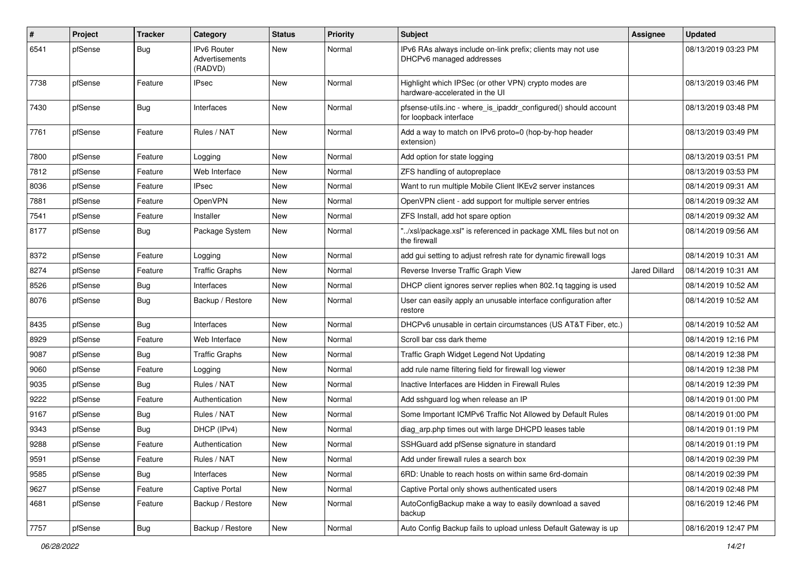| #    | <b>Project</b> | Tracker    | Category                                        | <b>Status</b> | <b>Priority</b> | Subject                                                                                   | Assignee             | <b>Updated</b>      |
|------|----------------|------------|-------------------------------------------------|---------------|-----------------|-------------------------------------------------------------------------------------------|----------------------|---------------------|
| 6541 | pfSense        | <b>Bug</b> | <b>IPv6 Router</b><br>Advertisements<br>(RADVD) | New           | Normal          | IPv6 RAs always include on-link prefix; clients may not use<br>DHCPv6 managed addresses   |                      | 08/13/2019 03:23 PM |
| 7738 | pfSense        | Feature    | <b>IPsec</b>                                    | New           | Normal          | Highlight which IPSec (or other VPN) crypto modes are<br>hardware-accelerated in the UI   |                      | 08/13/2019 03:46 PM |
| 7430 | pfSense        | <b>Bug</b> | Interfaces                                      | New           | Normal          | pfsense-utils.inc - where_is_ipaddr_configured() should account<br>for loopback interface |                      | 08/13/2019 03:48 PM |
| 7761 | pfSense        | Feature    | Rules / NAT                                     | New           | Normal          | Add a way to match on IPv6 proto=0 (hop-by-hop header<br>extension)                       |                      | 08/13/2019 03:49 PM |
| 7800 | pfSense        | Feature    | Logging                                         | New           | Normal          | Add option for state logging                                                              |                      | 08/13/2019 03:51 PM |
| 7812 | pfSense        | Feature    | Web Interface                                   | New           | Normal          | ZFS handling of autopreplace                                                              |                      | 08/13/2019 03:53 PM |
| 8036 | pfSense        | Feature    | IPsec                                           | New           | Normal          | Want to run multiple Mobile Client IKEv2 server instances                                 |                      | 08/14/2019 09:31 AM |
| 7881 | pfSense        | Feature    | OpenVPN                                         | New           | Normal          | OpenVPN client - add support for multiple server entries                                  |                      | 08/14/2019 09:32 AM |
| 7541 | pfSense        | Feature    | Installer                                       | New           | Normal          | ZFS Install, add hot spare option                                                         |                      | 08/14/2019 09:32 AM |
| 8177 | pfSense        | <b>Bug</b> | Package System                                  | New           | Normal          | "/xsl/package.xsl" is referenced in package XML files but not on<br>the firewall          |                      | 08/14/2019 09:56 AM |
| 8372 | pfSense        | Feature    | Logging                                         | New           | Normal          | add gui setting to adjust refresh rate for dynamic firewall logs                          |                      | 08/14/2019 10:31 AM |
| 8274 | pfSense        | Feature    | <b>Traffic Graphs</b>                           | New           | Normal          | Reverse Inverse Traffic Graph View                                                        | <b>Jared Dillard</b> | 08/14/2019 10:31 AM |
| 8526 | pfSense        | <b>Bug</b> | Interfaces                                      | New           | Normal          | DHCP client ignores server replies when 802.1q tagging is used                            |                      | 08/14/2019 10:52 AM |
| 8076 | pfSense        | <b>Bug</b> | Backup / Restore                                | New           | Normal          | User can easily apply an unusable interface configuration after<br>restore                |                      | 08/14/2019 10:52 AM |
| 8435 | pfSense        | <b>Bug</b> | Interfaces                                      | New           | Normal          | DHCPv6 unusable in certain circumstances (US AT&T Fiber, etc.)                            |                      | 08/14/2019 10:52 AM |
| 8929 | pfSense        | Feature    | Web Interface                                   | New           | Normal          | Scroll bar css dark theme                                                                 |                      | 08/14/2019 12:16 PM |
| 9087 | pfSense        | <b>Bug</b> | <b>Traffic Graphs</b>                           | New           | Normal          | Traffic Graph Widget Legend Not Updating                                                  |                      | 08/14/2019 12:38 PM |
| 9060 | pfSense        | Feature    | Logging                                         | New           | Normal          | add rule name filtering field for firewall log viewer                                     |                      | 08/14/2019 12:38 PM |
| 9035 | pfSense        | <b>Bug</b> | Rules / NAT                                     | New           | Normal          | Inactive Interfaces are Hidden in Firewall Rules                                          |                      | 08/14/2019 12:39 PM |
| 9222 | pfSense        | Feature    | Authentication                                  | New           | Normal          | Add sshguard log when release an IP                                                       |                      | 08/14/2019 01:00 PM |
| 9167 | pfSense        | <b>Bug</b> | Rules / NAT                                     | New           | Normal          | Some Important ICMPv6 Traffic Not Allowed by Default Rules                                |                      | 08/14/2019 01:00 PM |
| 9343 | pfSense        | <b>Bug</b> | DHCP (IPv4)                                     | New           | Normal          | diag_arp.php times out with large DHCPD leases table                                      |                      | 08/14/2019 01:19 PM |
| 9288 | pfSense        | Feature    | Authentication                                  | New           | Normal          | SSHGuard add pfSense signature in standard                                                |                      | 08/14/2019 01:19 PM |
| 9591 | pfSense        | Feature    | Rules / NAT                                     | New           | Normal          | Add under firewall rules a search box                                                     |                      | 08/14/2019 02:39 PM |
| 9585 | pfSense        | Bug        | Interfaces                                      | New           | Normal          | 6RD: Unable to reach hosts on within same 6rd-domain                                      |                      | 08/14/2019 02:39 PM |
| 9627 | pfSense        | Feature    | Captive Portal                                  | New           | Normal          | Captive Portal only shows authenticated users                                             |                      | 08/14/2019 02:48 PM |
| 4681 | pfSense        | Feature    | Backup / Restore                                | New           | Normal          | AutoConfigBackup make a way to easily download a saved<br>backup                          |                      | 08/16/2019 12:46 PM |
| 7757 | pfSense        | Bug        | Backup / Restore                                | New           | Normal          | Auto Config Backup fails to upload unless Default Gateway is up                           |                      | 08/16/2019 12:47 PM |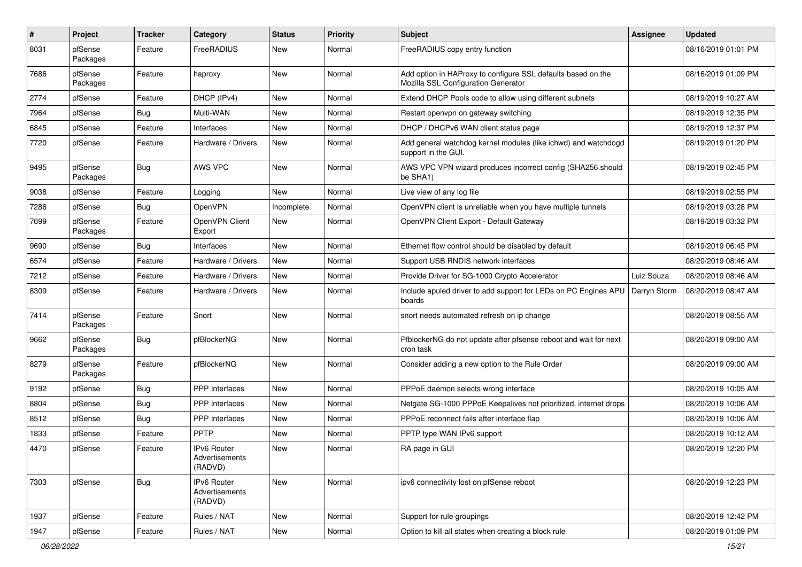| $\sharp$ | Project             | <b>Tracker</b> | Category                                        | <b>Status</b> | <b>Priority</b> | Subject                                                                                             | <b>Assignee</b> | <b>Updated</b>      |
|----------|---------------------|----------------|-------------------------------------------------|---------------|-----------------|-----------------------------------------------------------------------------------------------------|-----------------|---------------------|
| 8031     | pfSense<br>Packages | Feature        | FreeRADIUS                                      | New           | Normal          | FreeRADIUS copy entry function                                                                      |                 | 08/16/2019 01:01 PM |
| 7686     | pfSense<br>Packages | Feature        | haproxy                                         | New           | Normal          | Add option in HAProxy to configure SSL defaults based on the<br>Mozilla SSL Configuration Generator |                 | 08/16/2019 01:09 PM |
| 2774     | pfSense             | Feature        | DHCP (IPv4)                                     | New           | Normal          | Extend DHCP Pools code to allow using different subnets                                             |                 | 08/19/2019 10:27 AM |
| 7964     | pfSense             | <b>Bug</b>     | Multi-WAN                                       | New           | Normal          | Restart openvpn on gateway switching                                                                |                 | 08/19/2019 12:35 PM |
| 6845     | pfSense             | Feature        | Interfaces                                      | <b>New</b>    | Normal          | DHCP / DHCPv6 WAN client status page                                                                |                 | 08/19/2019 12:37 PM |
| 7720     | pfSense             | Feature        | Hardware / Drivers                              | New           | Normal          | Add general watchdog kernel modules (like ichwd) and watchdogd<br>support in the GUI.               |                 | 08/19/2019 01:20 PM |
| 9495     | pfSense<br>Packages | Bug            | AWS VPC                                         | <b>New</b>    | Normal          | AWS VPC VPN wizard produces incorrect config (SHA256 should<br>be SHA1)                             |                 | 08/19/2019 02:45 PM |
| 9038     | pfSense             | Feature        | Logging                                         | New           | Normal          | Live view of any log file                                                                           |                 | 08/19/2019 02:55 PM |
| 7286     | pfSense             | Bug            | OpenVPN                                         | Incomplete    | Normal          | OpenVPN client is unreliable when you have multiple tunnels                                         |                 | 08/19/2019 03:28 PM |
| 7699     | pfSense<br>Packages | Feature        | OpenVPN Client<br>Export                        | New           | Normal          | OpenVPN Client Export - Default Gateway                                                             |                 | 08/19/2019 03:32 PM |
| 9690     | pfSense             | <b>Bug</b>     | Interfaces                                      | New           | Normal          | Ethernet flow control should be disabled by default                                                 |                 | 08/19/2019 06:45 PM |
| 6574     | pfSense             | Feature        | Hardware / Drivers                              | New           | Normal          | Support USB RNDIS network interfaces                                                                |                 | 08/20/2019 08:46 AM |
| 7212     | pfSense             | Feature        | Hardware / Drivers                              | New           | Normal          | Provide Driver for SG-1000 Crypto Accelerator                                                       | Luiz Souza      | 08/20/2019 08:46 AM |
| 8309     | pfSense             | Feature        | Hardware / Drivers                              | New           | Normal          | Include apuled driver to add support for LEDs on PC Engines APU<br>boards                           | Darryn Storm    | 08/20/2019 08:47 AM |
| 7414     | pfSense<br>Packages | Feature        | Snort                                           | New           | Normal          | snort needs automated refresh on ip change                                                          |                 | 08/20/2019 08:55 AM |
| 9662     | pfSense<br>Packages | Bug            | pfBlockerNG                                     | New           | Normal          | PfblockerNG do not update after pfsense reboot and wait for next<br>cron task                       |                 | 08/20/2019 09:00 AM |
| 8279     | pfSense<br>Packages | Feature        | pfBlockerNG                                     | New           | Normal          | Consider adding a new option to the Rule Order                                                      |                 | 08/20/2019 09:00 AM |
| 9192     | pfSense             | Bug            | PPP Interfaces                                  | <b>New</b>    | Normal          | PPPoE daemon selects wrong interface                                                                |                 | 08/20/2019 10:05 AM |
| 8804     | pfSense             | Bug            | <b>PPP</b> Interfaces                           | New           | Normal          | Netgate SG-1000 PPPoE Keepalives not prioritized, internet drops                                    |                 | 08/20/2019 10:06 AM |
| 8512     | pfSense             | <b>Bug</b>     | PPP Interfaces                                  | New           | Normal          | PPPoE reconnect fails after interface flap                                                          |                 | 08/20/2019 10:06 AM |
| 1833     | pfSense             | Feature        | <b>PPTP</b>                                     | New           | Normal          | PPTP type WAN IPv6 support                                                                          |                 | 08/20/2019 10:12 AM |
| 4470     | pfSense             | Feature        | IPv6 Router<br>Advertisements<br>(RADVD)        | New           | Normal          | RA page in GUI                                                                                      |                 | 08/20/2019 12:20 PM |
| 7303     | pfSense             | Bug            | <b>IPv6 Router</b><br>Advertisements<br>(RADVD) | New           | Normal          | ipv6 connectivity lost on pfSense reboot                                                            |                 | 08/20/2019 12:23 PM |
| 1937     | pfSense             | Feature        | Rules / NAT                                     | New           | Normal          | Support for rule groupings                                                                          |                 | 08/20/2019 12:42 PM |
| 1947     | pfSense             | Feature        | Rules / NAT                                     | New           | Normal          | Option to kill all states when creating a block rule                                                |                 | 08/20/2019 01:09 PM |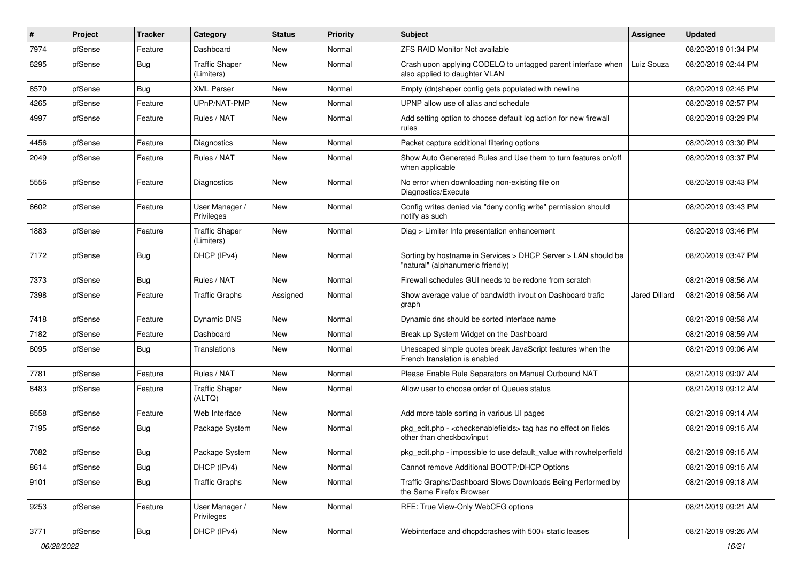| ∦    | Project | <b>Tracker</b> | Category                            | <b>Status</b> | <b>Priority</b> | Subject                                                                                            | <b>Assignee</b>      | <b>Updated</b>      |
|------|---------|----------------|-------------------------------------|---------------|-----------------|----------------------------------------------------------------------------------------------------|----------------------|---------------------|
| 7974 | pfSense | Feature        | Dashboard                           | New           | Normal          | ZFS RAID Monitor Not available                                                                     |                      | 08/20/2019 01:34 PM |
| 6295 | pfSense | <b>Bug</b>     | <b>Traffic Shaper</b><br>(Limiters) | New           | Normal          | Crash upon applying CODELQ to untagged parent interface when<br>also applied to daughter VLAN      | Luiz Souza           | 08/20/2019 02:44 PM |
| 8570 | pfSense | <b>Bug</b>     | <b>XML Parser</b>                   | New           | Normal          | Empty (dn)shaper config gets populated with newline                                                |                      | 08/20/2019 02:45 PM |
| 4265 | pfSense | Feature        | UPnP/NAT-PMP                        | New           | Normal          | UPNP allow use of alias and schedule                                                               |                      | 08/20/2019 02:57 PM |
| 4997 | pfSense | Feature        | Rules / NAT                         | New           | Normal          | Add setting option to choose default log action for new firewall<br>rules                          |                      | 08/20/2019 03:29 PM |
| 4456 | pfSense | Feature        | <b>Diagnostics</b>                  | New           | Normal          | Packet capture additional filtering options                                                        |                      | 08/20/2019 03:30 PM |
| 2049 | pfSense | Feature        | Rules / NAT                         | New           | Normal          | Show Auto Generated Rules and Use them to turn features on/off<br>when applicable                  |                      | 08/20/2019 03:37 PM |
| 5556 | pfSense | Feature        | Diagnostics                         | New           | Normal          | No error when downloading non-existing file on<br>Diagnostics/Execute                              |                      | 08/20/2019 03:43 PM |
| 6602 | pfSense | Feature        | User Manager /<br>Privileges        | New           | Normal          | Config writes denied via "deny config write" permission should<br>notify as such                   |                      | 08/20/2019 03:43 PM |
| 1883 | pfSense | Feature        | <b>Traffic Shaper</b><br>(Limiters) | New           | Normal          | Diag > Limiter Info presentation enhancement                                                       |                      | 08/20/2019 03:46 PM |
| 7172 | pfSense | <b>Bug</b>     | DHCP (IPv4)                         | New           | Normal          | Sorting by hostname in Services > DHCP Server > LAN should be<br>"natural" (alphanumeric friendly) |                      | 08/20/2019 03:47 PM |
| 7373 | pfSense | <b>Bug</b>     | Rules / NAT                         | New           | Normal          | Firewall schedules GUI needs to be redone from scratch                                             |                      | 08/21/2019 08:56 AM |
| 7398 | pfSense | Feature        | <b>Traffic Graphs</b>               | Assigned      | Normal          | Show average value of bandwidth in/out on Dashboard trafic<br>graph                                | <b>Jared Dillard</b> | 08/21/2019 08:56 AM |
| 7418 | pfSense | Feature        | Dynamic DNS                         | New           | Normal          | Dynamic dns should be sorted interface name                                                        |                      | 08/21/2019 08:58 AM |
| 7182 | pfSense | Feature        | Dashboard                           | New           | Normal          | Break up System Widget on the Dashboard                                                            |                      | 08/21/2019 08:59 AM |
| 8095 | pfSense | <b>Bug</b>     | Translations                        | New           | Normal          | Unescaped simple quotes break JavaScript features when the<br>French translation is enabled        |                      | 08/21/2019 09:06 AM |
| 7781 | pfSense | Feature        | Rules / NAT                         | New           | Normal          | Please Enable Rule Separators on Manual Outbound NAT                                               |                      | 08/21/2019 09:07 AM |
| 8483 | pfSense | Feature        | <b>Traffic Shaper</b><br>(ALTQ)     | New           | Normal          | Allow user to choose order of Queues status                                                        |                      | 08/21/2019 09:12 AM |
| 8558 | pfSense | Feature        | Web Interface                       | New           | Normal          | Add more table sorting in various UI pages                                                         |                      | 08/21/2019 09:14 AM |
| 7195 | pfSense | <b>Bug</b>     | Package System                      | New           | Normal          | pkg_edit.php - < checkenablefields > tag has no effect on fields<br>other than checkbox/input      |                      | 08/21/2019 09:15 AM |
| 7082 | pfSense | Bug            | Package System                      | New           | Normal          | pkg_edit.php - impossible to use default_value with rowhelperfield                                 |                      | 08/21/2019 09:15 AM |
| 8614 | pfSense | Bug            | DHCP (IPv4)                         | New           | Normal          | Cannot remove Additional BOOTP/DHCP Options                                                        |                      | 08/21/2019 09:15 AM |
| 9101 | pfSense | <b>Bug</b>     | <b>Traffic Graphs</b>               | New           | Normal          | Traffic Graphs/Dashboard Slows Downloads Being Performed by<br>the Same Firefox Browser            |                      | 08/21/2019 09:18 AM |
| 9253 | pfSense | Feature        | User Manager /<br>Privileges        | New           | Normal          | RFE: True View-Only WebCFG options                                                                 |                      | 08/21/2019 09:21 AM |
| 3771 | pfSense | Bug            | DHCP (IPv4)                         | New           | Normal          | Webinterface and dhcpdcrashes with 500+ static leases                                              |                      | 08/21/2019 09:26 AM |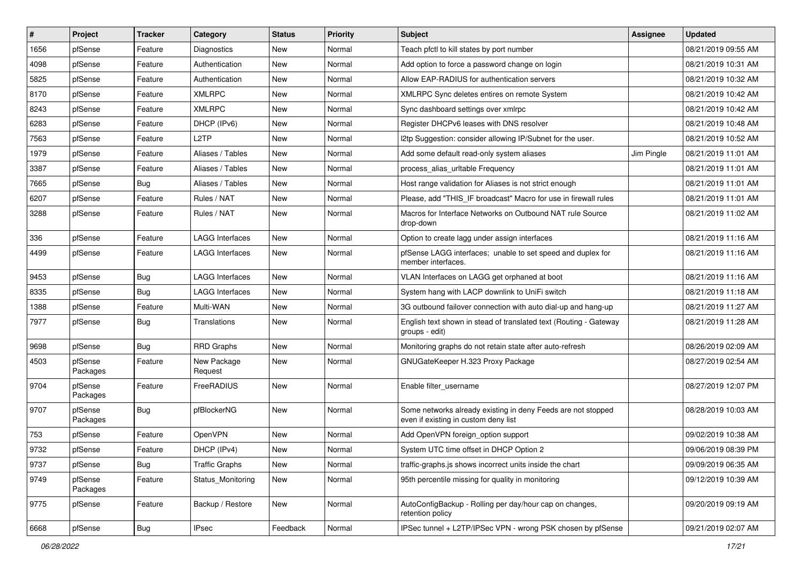| #    | Project             | <b>Tracker</b> | Category               | <b>Status</b> | <b>Priority</b> | Subject                                                                                              | Assignee   | <b>Updated</b>      |
|------|---------------------|----------------|------------------------|---------------|-----------------|------------------------------------------------------------------------------------------------------|------------|---------------------|
| 1656 | pfSense             | Feature        | Diagnostics            | New           | Normal          | Teach pfctl to kill states by port number                                                            |            | 08/21/2019 09:55 AM |
| 4098 | pfSense             | Feature        | Authentication         | New           | Normal          | Add option to force a password change on login                                                       |            | 08/21/2019 10:31 AM |
| 5825 | pfSense             | Feature        | Authentication         | New           | Normal          | Allow EAP-RADIUS for authentication servers                                                          |            | 08/21/2019 10:32 AM |
| 8170 | pfSense             | Feature        | <b>XMLRPC</b>          | New           | Normal          | XMLRPC Sync deletes entires on remote System                                                         |            | 08/21/2019 10:42 AM |
| 8243 | pfSense             | Feature        | <b>XMLRPC</b>          | New           | Normal          | Sync dashboard settings over xmlrpc                                                                  |            | 08/21/2019 10:42 AM |
| 6283 | pfSense             | Feature        | DHCP (IPv6)            | New           | Normal          | Register DHCPv6 leases with DNS resolver                                                             |            | 08/21/2019 10:48 AM |
| 7563 | pfSense             | Feature        | L <sub>2</sub> TP      | New           | Normal          | I2tp Suggestion: consider allowing IP/Subnet for the user.                                           |            | 08/21/2019 10:52 AM |
| 1979 | pfSense             | Feature        | Aliases / Tables       | New           | Normal          | Add some default read-only system aliases                                                            | Jim Pingle | 08/21/2019 11:01 AM |
| 3387 | pfSense             | Feature        | Aliases / Tables       | New           | Normal          | process_alias_urItable Frequency                                                                     |            | 08/21/2019 11:01 AM |
| 7665 | pfSense             | Bug            | Aliases / Tables       | New           | Normal          | Host range validation for Aliases is not strict enough                                               |            | 08/21/2019 11:01 AM |
| 6207 | pfSense             | Feature        | Rules / NAT            | New           | Normal          | Please, add "THIS IF broadcast" Macro for use in firewall rules                                      |            | 08/21/2019 11:01 AM |
| 3288 | pfSense             | Feature        | Rules / NAT            | New           | Normal          | Macros for Interface Networks on Outbound NAT rule Source<br>drop-down                               |            | 08/21/2019 11:02 AM |
| 336  | pfSense             | Feature        | LAGG Interfaces        | New           | Normal          | Option to create lagg under assign interfaces                                                        |            | 08/21/2019 11:16 AM |
| 4499 | pfSense             | Feature        | <b>LAGG Interfaces</b> | New           | Normal          | pfSense LAGG interfaces; unable to set speed and duplex for<br>member interfaces.                    |            | 08/21/2019 11:16 AM |
| 9453 | pfSense             | Bug            | <b>LAGG Interfaces</b> | New           | Normal          | VLAN Interfaces on LAGG get orphaned at boot                                                         |            | 08/21/2019 11:16 AM |
| 8335 | pfSense             | Bug            | <b>LAGG Interfaces</b> | New           | Normal          | System hang with LACP downlink to UniFi switch                                                       |            | 08/21/2019 11:18 AM |
| 1388 | pfSense             | Feature        | Multi-WAN              | New           | Normal          | 3G outbound failover connection with auto dial-up and hang-up                                        |            | 08/21/2019 11:27 AM |
| 7977 | pfSense             | <b>Bug</b>     | Translations           | New           | Normal          | English text shown in stead of translated text (Routing - Gateway<br>groups - edit)                  |            | 08/21/2019 11:28 AM |
| 9698 | pfSense             | Bug            | <b>RRD Graphs</b>      | New           | Normal          | Monitoring graphs do not retain state after auto-refresh                                             |            | 08/26/2019 02:09 AM |
| 4503 | pfSense<br>Packages | Feature        | New Package<br>Request | New           | Normal          | GNUGateKeeper H.323 Proxy Package                                                                    |            | 08/27/2019 02:54 AM |
| 9704 | pfSense<br>Packages | Feature        | FreeRADIUS             | New           | Normal          | Enable filter username                                                                               |            | 08/27/2019 12:07 PM |
| 9707 | pfSense<br>Packages | Bug            | pfBlockerNG            | New           | Normal          | Some networks already existing in deny Feeds are not stopped<br>even if existing in custom deny list |            | 08/28/2019 10:03 AM |
| 753  | pfSense             | Feature        | OpenVPN                | New           | Normal          | Add OpenVPN foreign option support                                                                   |            | 09/02/2019 10:38 AM |
| 9732 | pfSense             | Feature        | DHCP (IPv4)            | New           | Normal          | System UTC time offset in DHCP Option 2                                                              |            | 09/06/2019 08:39 PM |
| 9737 | pfSense             | Bug            | <b>Traffic Graphs</b>  | New           | Normal          | traffic-graphs.js shows incorrect units inside the chart                                             |            | 09/09/2019 06:35 AM |
| 9749 | pfSense<br>Packages | Feature        | Status_Monitoring      | New           | Normal          | 95th percentile missing for quality in monitoring                                                    |            | 09/12/2019 10:39 AM |
| 9775 | pfSense             | Feature        | Backup / Restore       | New           | Normal          | AutoConfigBackup - Rolling per day/hour cap on changes,<br>retention policy                          |            | 09/20/2019 09:19 AM |
| 6668 | pfSense             | Bug            | <b>IPsec</b>           | Feedback      | Normal          | IPSec tunnel + L2TP/IPSec VPN - wrong PSK chosen by pfSense                                          |            | 09/21/2019 02:07 AM |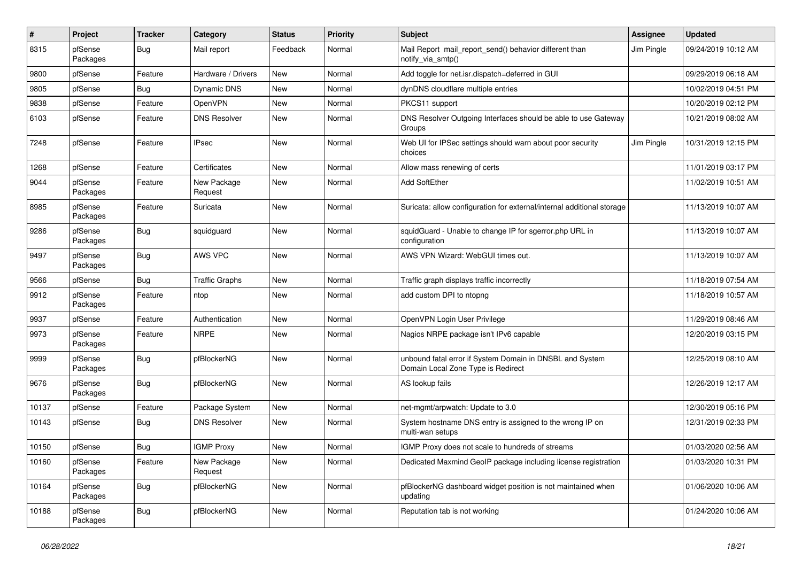| $\pmb{\#}$ | Project             | <b>Tracker</b> | Category               | <b>Status</b> | Priority | <b>Subject</b>                                                                                 | <b>Assignee</b> | <b>Updated</b>      |
|------------|---------------------|----------------|------------------------|---------------|----------|------------------------------------------------------------------------------------------------|-----------------|---------------------|
| 8315       | pfSense<br>Packages | <b>Bug</b>     | Mail report            | Feedback      | Normal   | Mail Report mail report send() behavior different than<br>notify via smtp()                    | Jim Pingle      | 09/24/2019 10:12 AM |
| 9800       | pfSense             | Feature        | Hardware / Drivers     | New           | Normal   | Add toggle for net.isr.dispatch=deferred in GUI                                                |                 | 09/29/2019 06:18 AM |
| 9805       | pfSense             | <b>Bug</b>     | Dynamic DNS            | New           | Normal   | dynDNS cloudflare multiple entries                                                             |                 | 10/02/2019 04:51 PM |
| 9838       | pfSense             | Feature        | OpenVPN                | <b>New</b>    | Normal   | PKCS11 support                                                                                 |                 | 10/20/2019 02:12 PM |
| 6103       | pfSense             | Feature        | <b>DNS Resolver</b>    | New           | Normal   | DNS Resolver Outgoing Interfaces should be able to use Gateway<br>Groups                       |                 | 10/21/2019 08:02 AM |
| 7248       | pfSense             | Feature        | <b>IPsec</b>           | New           | Normal   | Web UI for IPSec settings should warn about poor security<br>choices                           | Jim Pingle      | 10/31/2019 12:15 PM |
| 1268       | pfSense             | Feature        | Certificates           | New           | Normal   | Allow mass renewing of certs                                                                   |                 | 11/01/2019 03:17 PM |
| 9044       | pfSense<br>Packages | Feature        | New Package<br>Request | New           | Normal   | Add SoftEther                                                                                  |                 | 11/02/2019 10:51 AM |
| 8985       | pfSense<br>Packages | Feature        | Suricata               | New           | Normal   | Suricata: allow configuration for external/internal additional storage                         |                 | 11/13/2019 10:07 AM |
| 9286       | pfSense<br>Packages | <b>Bug</b>     | squidguard             | New           | Normal   | squidGuard - Unable to change IP for sgerror.php URL in<br>configuration                       |                 | 11/13/2019 10:07 AM |
| 9497       | pfSense<br>Packages | <b>Bug</b>     | AWS VPC                | <b>New</b>    | Normal   | AWS VPN Wizard: WebGUI times out.                                                              |                 | 11/13/2019 10:07 AM |
| 9566       | pfSense             | <b>Bug</b>     | <b>Traffic Graphs</b>  | <b>New</b>    | Normal   | Traffic graph displays traffic incorrectly                                                     |                 | 11/18/2019 07:54 AM |
| 9912       | pfSense<br>Packages | Feature        | ntop                   | New           | Normal   | add custom DPI to ntopng                                                                       |                 | 11/18/2019 10:57 AM |
| 9937       | pfSense             | Feature        | Authentication         | New           | Normal   | OpenVPN Login User Privilege                                                                   |                 | 11/29/2019 08:46 AM |
| 9973       | pfSense<br>Packages | Feature        | <b>NRPE</b>            | New           | Normal   | Nagios NRPE package isn't IPv6 capable                                                         |                 | 12/20/2019 03:15 PM |
| 9999       | pfSense<br>Packages | <b>Bug</b>     | pfBlockerNG            | New           | Normal   | unbound fatal error if System Domain in DNSBL and System<br>Domain Local Zone Type is Redirect |                 | 12/25/2019 08:10 AM |
| 9676       | pfSense<br>Packages | <b>Bug</b>     | pfBlockerNG            | New           | Normal   | AS lookup fails                                                                                |                 | 12/26/2019 12:17 AM |
| 10137      | pfSense             | Feature        | Package System         | New           | Normal   | net-mgmt/arpwatch: Update to 3.0                                                               |                 | 12/30/2019 05:16 PM |
| 10143      | pfSense             | <b>Bug</b>     | <b>DNS Resolver</b>    | <b>New</b>    | Normal   | System hostname DNS entry is assigned to the wrong IP on<br>multi-wan setups                   |                 | 12/31/2019 02:33 PM |
| 10150      | pfSense             | <b>Bug</b>     | <b>IGMP Proxy</b>      | New           | Normal   | IGMP Proxy does not scale to hundreds of streams                                               |                 | 01/03/2020 02:56 AM |
| 10160      | pfSense<br>Packages | Feature        | New Package<br>Request | New           | Normal   | Dedicated Maxmind GeoIP package including license registration                                 |                 | 01/03/2020 10:31 PM |
| 10164      | pfSense<br>Packages | <b>Bug</b>     | pfBlockerNG            | New           | Normal   | pfBlockerNG dashboard widget position is not maintained when<br>updating                       |                 | 01/06/2020 10:06 AM |
| 10188      | pfSense<br>Packages | <b>Bug</b>     | pfBlockerNG            | New           | Normal   | Reputation tab is not working                                                                  |                 | 01/24/2020 10:06 AM |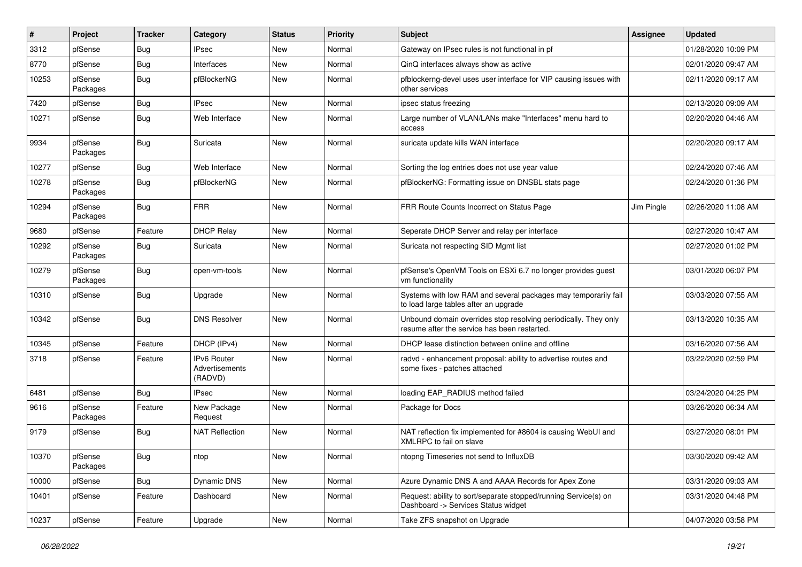| #     | Project             | <b>Tracker</b> | Category                                 | <b>Status</b> | <b>Priority</b> | Subject                                                                                                         | <b>Assignee</b> | <b>Updated</b>      |
|-------|---------------------|----------------|------------------------------------------|---------------|-----------------|-----------------------------------------------------------------------------------------------------------------|-----------------|---------------------|
| 3312  | pfSense             | <b>Bug</b>     | IPsec                                    | New           | Normal          | Gateway on IPsec rules is not functional in pf                                                                  |                 | 01/28/2020 10:09 PM |
| 8770  | pfSense             | <b>Bug</b>     | Interfaces                               | New           | Normal          | QinQ interfaces always show as active                                                                           |                 | 02/01/2020 09:47 AM |
| 10253 | pfSense<br>Packages | <b>Bug</b>     | pfBlockerNG                              | New           | Normal          | pfblockerng-devel uses user interface for VIP causing issues with<br>other services                             |                 | 02/11/2020 09:17 AM |
| 7420  | pfSense             | <b>Bug</b>     | <b>IPsec</b>                             | New           | Normal          | ipsec status freezing                                                                                           |                 | 02/13/2020 09:09 AM |
| 10271 | pfSense             | <b>Bug</b>     | Web Interface                            | New           | Normal          | Large number of VLAN/LANs make "Interfaces" menu hard to<br>access                                              |                 | 02/20/2020 04:46 AM |
| 9934  | pfSense<br>Packages | <b>Bug</b>     | Suricata                                 | New           | Normal          | suricata update kills WAN interface                                                                             |                 | 02/20/2020 09:17 AM |
| 10277 | pfSense             | <b>Bug</b>     | Web Interface                            | New           | Normal          | Sorting the log entries does not use year value                                                                 |                 | 02/24/2020 07:46 AM |
| 10278 | pfSense<br>Packages | <b>Bug</b>     | pfBlockerNG                              | New           | Normal          | pfBlockerNG: Formatting issue on DNSBL stats page                                                               |                 | 02/24/2020 01:36 PM |
| 10294 | pfSense<br>Packages | <b>Bug</b>     | <b>FRR</b>                               | New           | Normal          | FRR Route Counts Incorrect on Status Page                                                                       | Jim Pingle      | 02/26/2020 11:08 AM |
| 9680  | pfSense             | Feature        | <b>DHCP Relay</b>                        | New           | Normal          | Seperate DHCP Server and relay per interface                                                                    |                 | 02/27/2020 10:47 AM |
| 10292 | pfSense<br>Packages | Bug            | Suricata                                 | New           | Normal          | Suricata not respecting SID Mgmt list                                                                           |                 | 02/27/2020 01:02 PM |
| 10279 | pfSense<br>Packages | <b>Bug</b>     | open-vm-tools                            | New           | Normal          | pfSense's OpenVM Tools on ESXi 6.7 no longer provides guest<br>vm functionality                                 |                 | 03/01/2020 06:07 PM |
| 10310 | pfSense             | <b>Bug</b>     | Upgrade                                  | New           | Normal          | Systems with low RAM and several packages may temporarily fail<br>to load large tables after an upgrade         |                 | 03/03/2020 07:55 AM |
| 10342 | pfSense             | <b>Bug</b>     | <b>DNS Resolver</b>                      | New           | Normal          | Unbound domain overrides stop resolving periodically. They only<br>resume after the service has been restarted. |                 | 03/13/2020 10:35 AM |
| 10345 | pfSense             | Feature        | DHCP (IPv4)                              | New           | Normal          | DHCP lease distinction between online and offline                                                               |                 | 03/16/2020 07:56 AM |
| 3718  | pfSense             | Feature        | IPv6 Router<br>Advertisements<br>(RADVD) | New           | Normal          | radvd - enhancement proposal: ability to advertise routes and<br>some fixes - patches attached                  |                 | 03/22/2020 02:59 PM |
| 6481  | pfSense             | <b>Bug</b>     | <b>IPsec</b>                             | New           | Normal          | loading EAP_RADIUS method failed                                                                                |                 | 03/24/2020 04:25 PM |
| 9616  | pfSense<br>Packages | Feature        | New Package<br>Request                   | New           | Normal          | Package for Docs                                                                                                |                 | 03/26/2020 06:34 AM |
| 9179  | pfSense             | <b>Bug</b>     | <b>NAT Reflection</b>                    | New           | Normal          | NAT reflection fix implemented for #8604 is causing WebUI and<br>XMLRPC to fail on slave                        |                 | 03/27/2020 08:01 PM |
| 10370 | pfSense<br>Packages | <b>Bug</b>     | ntop                                     | New           | Normal          | ntopng Timeseries not send to InfluxDB                                                                          |                 | 03/30/2020 09:42 AM |
| 10000 | pfSense             | <b>Bug</b>     | Dynamic DNS                              | New           | Normal          | Azure Dynamic DNS A and AAAA Records for Apex Zone                                                              |                 | 03/31/2020 09:03 AM |
| 10401 | pfSense             | Feature        | Dashboard                                | New           | Normal          | Request: ability to sort/separate stopped/running Service(s) on<br>Dashboard -> Services Status widget          |                 | 03/31/2020 04:48 PM |
| 10237 | pfSense             | Feature        | Upgrade                                  | New           | Normal          | Take ZFS snapshot on Upgrade                                                                                    |                 | 04/07/2020 03:58 PM |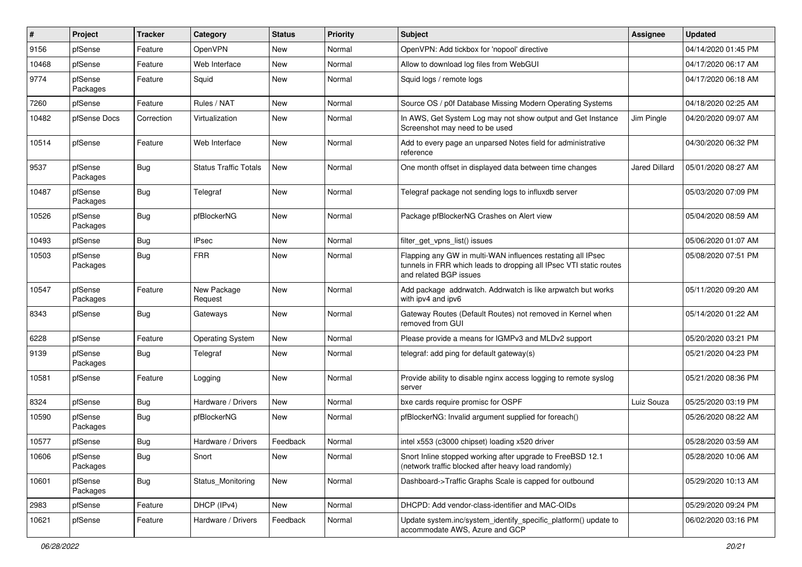| #     | Project             | <b>Tracker</b> | Category                     | <b>Status</b> | Priority | <b>Subject</b>                                                                                                                                              | <b>Assignee</b>      | <b>Updated</b>      |
|-------|---------------------|----------------|------------------------------|---------------|----------|-------------------------------------------------------------------------------------------------------------------------------------------------------------|----------------------|---------------------|
| 9156  | pfSense             | Feature        | OpenVPN                      | New           | Normal   | OpenVPN: Add tickbox for 'nopool' directive                                                                                                                 |                      | 04/14/2020 01:45 PM |
| 10468 | pfSense             | Feature        | Web Interface                | New           | Normal   | Allow to download log files from WebGUI                                                                                                                     |                      | 04/17/2020 06:17 AM |
| 9774  | pfSense<br>Packages | Feature        | Squid                        | New           | Normal   | Squid logs / remote logs                                                                                                                                    |                      | 04/17/2020 06:18 AM |
| 7260  | pfSense             | Feature        | Rules / NAT                  | <b>New</b>    | Normal   | Source OS / p0f Database Missing Modern Operating Systems                                                                                                   |                      | 04/18/2020 02:25 AM |
| 10482 | pfSense Docs        | Correction     | Virtualization               | New           | Normal   | In AWS, Get System Log may not show output and Get Instance<br>Screenshot may need to be used                                                               | Jim Pingle           | 04/20/2020 09:07 AM |
| 10514 | pfSense             | Feature        | Web Interface                | New           | Normal   | Add to every page an unparsed Notes field for administrative<br>reference                                                                                   |                      | 04/30/2020 06:32 PM |
| 9537  | pfSense<br>Packages | Bug            | <b>Status Traffic Totals</b> | New           | Normal   | One month offset in displayed data between time changes                                                                                                     | <b>Jared Dillard</b> | 05/01/2020 08:27 AM |
| 10487 | pfSense<br>Packages | Bug            | Telegraf                     | New           | Normal   | Telegraf package not sending logs to influxdb server                                                                                                        |                      | 05/03/2020 07:09 PM |
| 10526 | pfSense<br>Packages | Bug            | pfBlockerNG                  | New           | Normal   | Package pfBlockerNG Crashes on Alert view                                                                                                                   |                      | 05/04/2020 08:59 AM |
| 10493 | pfSense             | <b>Bug</b>     | <b>IPsec</b>                 | <b>New</b>    | Normal   | filter_get_vpns_list() issues                                                                                                                               |                      | 05/06/2020 01:07 AM |
| 10503 | pfSense<br>Packages | Bug            | <b>FRR</b>                   | New           | Normal   | Flapping any GW in multi-WAN influences restating all IPsec<br>tunnels in FRR which leads to dropping all IPsec VTI static routes<br>and related BGP issues |                      | 05/08/2020 07:51 PM |
| 10547 | pfSense<br>Packages | Feature        | New Package<br>Request       | New           | Normal   | Add package addrwatch. Addrwatch is like arpwatch but works<br>with ipv4 and ipv6                                                                           |                      | 05/11/2020 09:20 AM |
| 8343  | pfSense             | Bug            | Gateways                     | <b>New</b>    | Normal   | Gateway Routes (Default Routes) not removed in Kernel when<br>removed from GUI                                                                              |                      | 05/14/2020 01:22 AM |
| 6228  | pfSense             | Feature        | <b>Operating System</b>      | New           | Normal   | Please provide a means for IGMPv3 and MLDv2 support                                                                                                         |                      | 05/20/2020 03:21 PM |
| 9139  | pfSense<br>Packages | Bug            | Telegraf                     | New           | Normal   | telegraf: add ping for default gateway(s)                                                                                                                   |                      | 05/21/2020 04:23 PM |
| 10581 | pfSense             | Feature        | Logging                      | New           | Normal   | Provide ability to disable nginx access logging to remote syslog<br>server                                                                                  |                      | 05/21/2020 08:36 PM |
| 8324  | pfSense             | <b>Bug</b>     | Hardware / Drivers           | New           | Normal   | bxe cards require promisc for OSPF                                                                                                                          | Luiz Souza           | 05/25/2020 03:19 PM |
| 10590 | pfSense<br>Packages | <b>Bug</b>     | pfBlockerNG                  | New           | Normal   | pfBlockerNG: Invalid argument supplied for foreach()                                                                                                        |                      | 05/26/2020 08:22 AM |
| 10577 | pfSense             | Bug            | Hardware / Drivers           | Feedback      | Normal   | intel x553 (c3000 chipset) loading x520 driver                                                                                                              |                      | 05/28/2020 03:59 AM |
| 10606 | pfSense<br>Packages | Bug            | Snort                        | New           | Normal   | Snort Inline stopped working after upgrade to FreeBSD 12.1<br>(network traffic blocked after heavy load randomly)                                           |                      | 05/28/2020 10:06 AM |
| 10601 | pfSense<br>Packages | <b>Bug</b>     | Status Monitoring            | New           | Normal   | Dashboard->Traffic Graphs Scale is capped for outbound                                                                                                      |                      | 05/29/2020 10:13 AM |
| 2983  | pfSense             | Feature        | DHCP (IPv4)                  | New           | Normal   | DHCPD: Add vendor-class-identifier and MAC-OIDs                                                                                                             |                      | 05/29/2020 09:24 PM |
| 10621 | pfSense             | Feature        | Hardware / Drivers           | Feedback      | Normal   | Update system.inc/system_identify_specific_platform() update to<br>accommodate AWS, Azure and GCP                                                           |                      | 06/02/2020 03:16 PM |